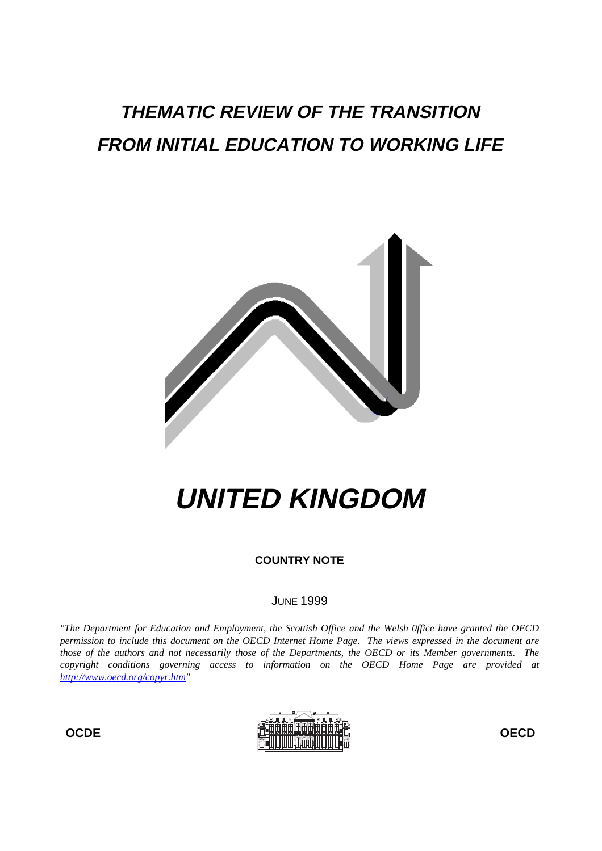## **THEMATIC REVIEW OF THE TRANSITION FROM INITIAL EDUCATION TO WORKING LIFE**



# **UNITED KINGDOM**

**COUNTRY NOTE**

## JUNE 1999

*"The Department for Education and Employment, the Scottish Office and the Welsh 0ffice have granted the OECD permission to include this document on the OECD Internet Home Page. The views expressed in the document are those of the authors and not necessarily those of the Departments, the OECD or its Member governments. The copyright conditions governing access to information on the OECD Home Page are provided at http://www.oecd.org/copyr.htm"*

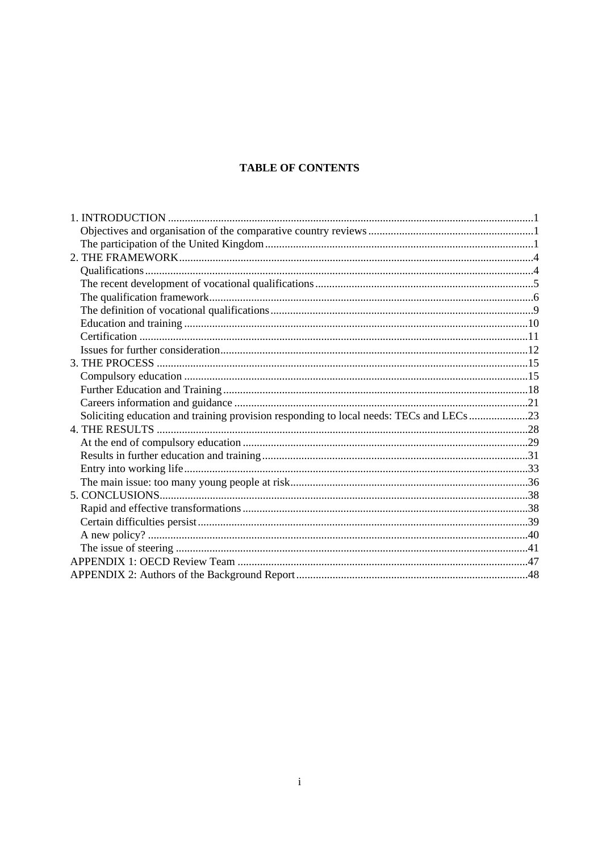## **TABLE OF CONTENTS**

| Soliciting education and training provision responding to local needs: TECs and LECs 23 |  |
|-----------------------------------------------------------------------------------------|--|
|                                                                                         |  |
|                                                                                         |  |
|                                                                                         |  |
|                                                                                         |  |
|                                                                                         |  |
|                                                                                         |  |
|                                                                                         |  |
|                                                                                         |  |
|                                                                                         |  |
|                                                                                         |  |
|                                                                                         |  |
|                                                                                         |  |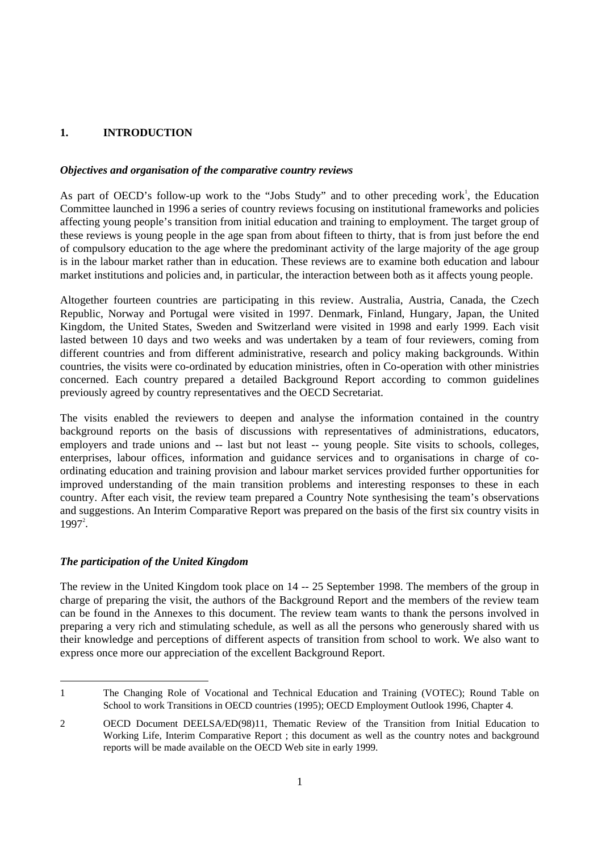## **1. INTRODUCTION**

## *Objectives and organisation of the comparative country reviews*

As part of OECD's follow-up work to the "Jobs Study" and to other preceding work<sup>1</sup>, the Education Committee launched in 1996 a series of country reviews focusing on institutional frameworks and policies affecting young people's transition from initial education and training to employment. The target group of these reviews is young people in the age span from about fifteen to thirty, that is from just before the end of compulsory education to the age where the predominant activity of the large majority of the age group is in the labour market rather than in education. These reviews are to examine both education and labour market institutions and policies and, in particular, the interaction between both as it affects young people.

Altogether fourteen countries are participating in this review. Australia, Austria, Canada, the Czech Republic, Norway and Portugal were visited in 1997. Denmark, Finland, Hungary, Japan, the United Kingdom, the United States, Sweden and Switzerland were visited in 1998 and early 1999. Each visit lasted between 10 days and two weeks and was undertaken by a team of four reviewers, coming from different countries and from different administrative, research and policy making backgrounds. Within countries, the visits were co-ordinated by education ministries, often in Co-operation with other ministries concerned. Each country prepared a detailed Background Report according to common guidelines previously agreed by country representatives and the OECD Secretariat.

The visits enabled the reviewers to deepen and analyse the information contained in the country background reports on the basis of discussions with representatives of administrations, educators, employers and trade unions and -- last but not least -- young people. Site visits to schools, colleges, enterprises, labour offices, information and guidance services and to organisations in charge of coordinating education and training provision and labour market services provided further opportunities for improved understanding of the main transition problems and interesting responses to these in each country. After each visit, the review team prepared a Country Note synthesising the team's observations and suggestions. An Interim Comparative Report was prepared on the basis of the first six country visits in  $1997<sup>2</sup>$ .

## *The participation of the United Kingdom*

The review in the United Kingdom took place on 14 -- 25 September 1998. The members of the group in charge of preparing the visit, the authors of the Background Report and the members of the review team can be found in the Annexes to this document. The review team wants to thank the persons involved in preparing a very rich and stimulating schedule, as well as all the persons who generously shared with us their knowledge and perceptions of different aspects of transition from school to work. We also want to express once more our appreciation of the excellent Background Report.

<sup>1</sup> The Changing Role of Vocational and Technical Education and Training (VOTEC); Round Table on School to work Transitions in OECD countries (1995); OECD Employment Outlook 1996, Chapter 4.

<sup>2</sup> OECD Document DEELSA/ED(98)11, Thematic Review of the Transition from Initial Education to Working Life, Interim Comparative Report ; this document as well as the country notes and background reports will be made available on the OECD Web site in early 1999.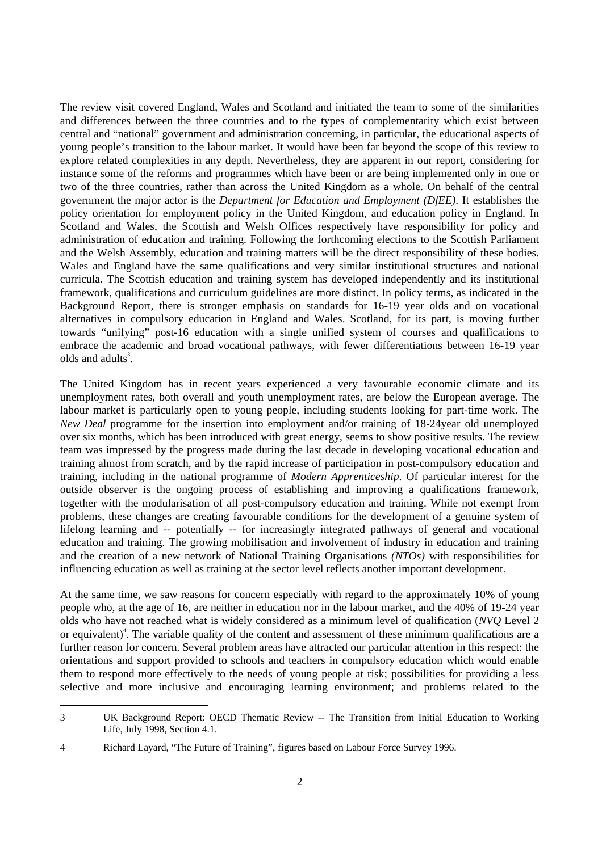The review visit covered England, Wales and Scotland and initiated the team to some of the similarities and differences between the three countries and to the types of complementarity which exist between central and "national" government and administration concerning, in particular, the educational aspects of young people's transition to the labour market. It would have been far beyond the scope of this review to explore related complexities in any depth. Nevertheless, they are apparent in our report, considering for instance some of the reforms and programmes which have been or are being implemented only in one or two of the three countries, rather than across the United Kingdom as a whole. On behalf of the central government the major actor is the *Department for Education and Employment (DfEE)*. It establishes the policy orientation for employment policy in the United Kingdom, and education policy in England. In Scotland and Wales, the Scottish and Welsh Offices respectively have responsibility for policy and administration of education and training. Following the forthcoming elections to the Scottish Parliament and the Welsh Assembly, education and training matters will be the direct responsibility of these bodies. Wales and England have the same qualifications and very similar institutional structures and national curricula. The Scottish education and training system has developed independently and its institutional framework, qualifications and curriculum guidelines are more distinct. In policy terms, as indicated in the Background Report, there is stronger emphasis on standards for 16-19 year olds and on vocational alternatives in compulsory education in England and Wales. Scotland, for its part, is moving further towards "unifying" post-16 education with a single unified system of courses and qualifications to embrace the academic and broad vocational pathways, with fewer differentiations between 16-19 year olds and adults<sup>3</sup>.

The United Kingdom has in recent years experienced a very favourable economic climate and its unemployment rates, both overall and youth unemployment rates, are below the European average. The labour market is particularly open to young people, including students looking for part-time work. The *New Deal* programme for the insertion into employment and/or training of 18-24year old unemployed over six months, which has been introduced with great energy, seems to show positive results. The review team was impressed by the progress made during the last decade in developing vocational education and training almost from scratch, and by the rapid increase of participation in post-compulsory education and training, including in the national programme of *Modern Apprenticeship*. Of particular interest for the outside observer is the ongoing process of establishing and improving a qualifications framework, together with the modularisation of all post-compulsory education and training. While not exempt from problems, these changes are creating favourable conditions for the development of a genuine system of lifelong learning and -- potentially -- for increasingly integrated pathways of general and vocational education and training. The growing mobilisation and involvement of industry in education and training and the creation of a new network of National Training Organisations *(NTOs)* with responsibilities for influencing education as well as training at the sector level reflects another important development.

At the same time, we saw reasons for concern especially with regard to the approximately 10% of young people who, at the age of 16, are neither in education nor in the labour market, and the 40% of 19-24 year olds who have not reached what is widely considered as a minimum level of qualification (*NVQ* Level 2 or equivalent)<sup>4</sup>. The variable quality of the content and assessment of these minimum qualifications are a further reason for concern. Several problem areas have attracted our particular attention in this respect: the orientations and support provided to schools and teachers in compulsory education which would enable them to respond more effectively to the needs of young people at risk; possibilities for providing a less selective and more inclusive and encouraging learning environment; and problems related to the

<sup>3</sup> UK Background Report: OECD Thematic Review -- The Transition from Initial Education to Working Life, July 1998, Section 4.1.

<sup>4</sup> Richard Layard, "The Future of Training", figures based on Labour Force Survey 1996.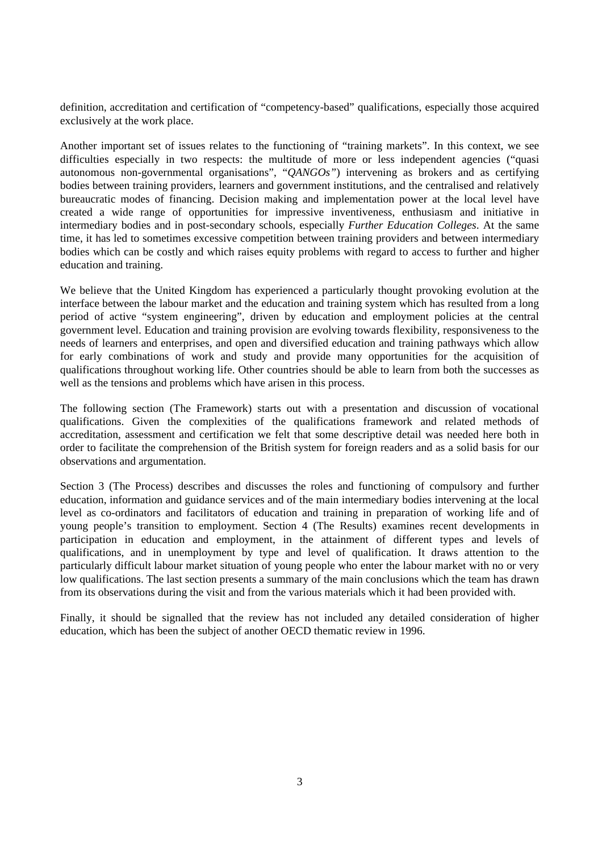definition, accreditation and certification of "competency-based" qualifications, especially those acquired exclusively at the work place.

Another important set of issues relates to the functioning of "training markets". In this context, we see difficulties especially in two respects: the multitude of more or less independent agencies ("quasi autonomous non-governmental organisations", "*QANGOs"*) intervening as brokers and as certifying bodies between training providers, learners and government institutions, and the centralised and relatively bureaucratic modes of financing. Decision making and implementation power at the local level have created a wide range of opportunities for impressive inventiveness, enthusiasm and initiative in intermediary bodies and in post-secondary schools, especially *Further Education Colleges*. At the same time, it has led to sometimes excessive competition between training providers and between intermediary bodies which can be costly and which raises equity problems with regard to access to further and higher education and training.

We believe that the United Kingdom has experienced a particularly thought provoking evolution at the interface between the labour market and the education and training system which has resulted from a long period of active "system engineering", driven by education and employment policies at the central government level. Education and training provision are evolving towards flexibility, responsiveness to the needs of learners and enterprises, and open and diversified education and training pathways which allow for early combinations of work and study and provide many opportunities for the acquisition of qualifications throughout working life. Other countries should be able to learn from both the successes as well as the tensions and problems which have arisen in this process.

The following section (The Framework) starts out with a presentation and discussion of vocational qualifications. Given the complexities of the qualifications framework and related methods of accreditation, assessment and certification we felt that some descriptive detail was needed here both in order to facilitate the comprehension of the British system for foreign readers and as a solid basis for our observations and argumentation.

Section 3 (The Process) describes and discusses the roles and functioning of compulsory and further education, information and guidance services and of the main intermediary bodies intervening at the local level as co-ordinators and facilitators of education and training in preparation of working life and of young people's transition to employment. Section 4 (The Results) examines recent developments in participation in education and employment, in the attainment of different types and levels of qualifications, and in unemployment by type and level of qualification. It draws attention to the particularly difficult labour market situation of young people who enter the labour market with no or very low qualifications. The last section presents a summary of the main conclusions which the team has drawn from its observations during the visit and from the various materials which it had been provided with.

Finally, it should be signalled that the review has not included any detailed consideration of higher education, which has been the subject of another OECD thematic review in 1996.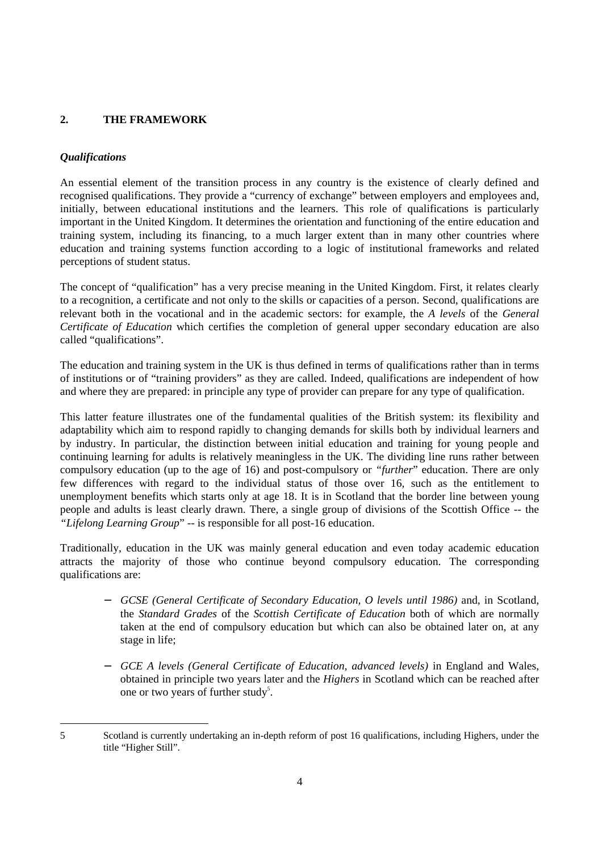## **2. THE FRAMEWORK**

## *Qualifications*

An essential element of the transition process in any country is the existence of clearly defined and recognised qualifications. They provide a "currency of exchange" between employers and employees and, initially, between educational institutions and the learners. This role of qualifications is particularly important in the United Kingdom. It determines the orientation and functioning of the entire education and training system, including its financing, to a much larger extent than in many other countries where education and training systems function according to a logic of institutional frameworks and related perceptions of student status.

The concept of "qualification" has a very precise meaning in the United Kingdom. First, it relates clearly to a recognition, a certificate and not only to the skills or capacities of a person. Second, qualifications are relevant both in the vocational and in the academic sectors: for example, the *A levels* of the *General Certificate of Education* which certifies the completion of general upper secondary education are also called "qualifications".

The education and training system in the UK is thus defined in terms of qualifications rather than in terms of institutions or of "training providers" as they are called. Indeed, qualifications are independent of how and where they are prepared: in principle any type of provider can prepare for any type of qualification.

This latter feature illustrates one of the fundamental qualities of the British system: its flexibility and adaptability which aim to respond rapidly to changing demands for skills both by individual learners and by industry. In particular, the distinction between initial education and training for young people and continuing learning for adults is relatively meaningless in the UK. The dividing line runs rather between compulsory education (up to the age of 16) and post-compulsory or *"further*" education. There are only few differences with regard to the individual status of those over 16, such as the entitlement to unemployment benefits which starts only at age 18. It is in Scotland that the border line between young people and adults is least clearly drawn. There, a single group of divisions of the Scottish Office -- the *"Lifelong Learning Group*" -- is responsible for all post-16 education.

Traditionally, education in the UK was mainly general education and even today academic education attracts the majority of those who continue beyond compulsory education. The corresponding qualifications are:

- − *GCSE (General Certificate of Secondary Education, O levels until 1986)* and, in Scotland, the *Standard Grades* of the *Scottish Certificate of Education* both of which are normally taken at the end of compulsory education but which can also be obtained later on, at any stage in life;
- − *GCE A levels (General Certificate of Education, advanced levels)* in England and Wales, obtained in principle two years later and the *Highers* in Scotland which can be reached after one or two years of further study<sup>5</sup>.

<sup>5</sup> Scotland is currently undertaking an in-depth reform of post 16 qualifications, including Highers, under the title "Higher Still".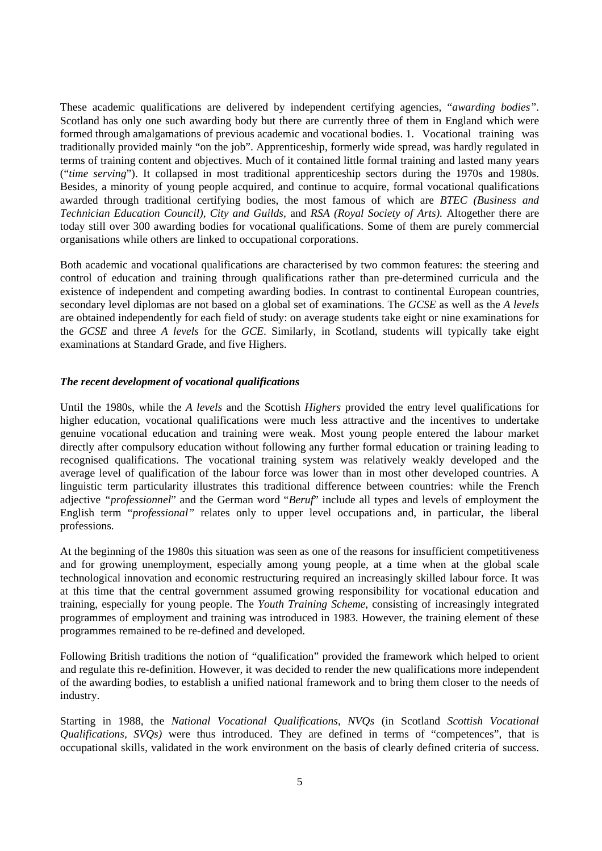These academic qualifications are delivered by independent certifying agencies, "*awarding bodies"*. Scotland has only one such awarding body but there are currently three of them in England which were formed through amalgamations of previous academic and vocational bodies. 1. Vocational training was traditionally provided mainly "on the job". Apprenticeship, formerly wide spread, was hardly regulated in terms of training content and objectives. Much of it contained little formal training and lasted many years ("*time serving*"). It collapsed in most traditional apprenticeship sectors during the 1970s and 1980s. Besides, a minority of young people acquired, and continue to acquire, formal vocational qualifications awarded through traditional certifying bodies, the most famous of which are *BTEC (Business and Technician Education Council), City and Guilds,* and *RSA (Royal Society of Arts).* Altogether there are today still over 300 awarding bodies for vocational qualifications. Some of them are purely commercial organisations while others are linked to occupational corporations.

Both academic and vocational qualifications are characterised by two common features: the steering and control of education and training through qualifications rather than pre-determined curricula and the existence of independent and competing awarding bodies. In contrast to continental European countries, secondary level diplomas are not based on a global set of examinations. The *GCSE* as well as the *A levels* are obtained independently for each field of study: on average students take eight or nine examinations for the *GCSE* and three *A levels* for the *GCE*. Similarly, in Scotland, students will typically take eight examinations at Standard Grade, and five Highers.

## *The recent development of vocational qualifications*

Until the 1980s, while the *A levels* and the Scottish *Highers* provided the entry level qualifications for higher education, vocational qualifications were much less attractive and the incentives to undertake genuine vocational education and training were weak. Most young people entered the labour market directly after compulsory education without following any further formal education or training leading to recognised qualifications. The vocational training system was relatively weakly developed and the average level of qualification of the labour force was lower than in most other developed countries. A linguistic term particularity illustrates this traditional difference between countries: while the French adjective *"professionnel*" and the German word "*Beruf*" include all types and levels of employment the English term "*professional"* relates only to upper level occupations and, in particular, the liberal professions.

At the beginning of the 1980s this situation was seen as one of the reasons for insufficient competitiveness and for growing unemployment, especially among young people, at a time when at the global scale technological innovation and economic restructuring required an increasingly skilled labour force. It was at this time that the central government assumed growing responsibility for vocational education and training, especially for young people. The *Youth Training Scheme*, consisting of increasingly integrated programmes of employment and training was introduced in 1983. However, the training element of these programmes remained to be re-defined and developed.

Following British traditions the notion of "qualification" provided the framework which helped to orient and regulate this re-definition. However, it was decided to render the new qualifications more independent of the awarding bodies, to establish a unified national framework and to bring them closer to the needs of industry.

Starting in 1988, the *National Vocational Qualifications, NVQs* (in Scotland *Scottish Vocational Qualifications, SVQs)* were thus introduced. They are defined in terms of "competences", that is occupational skills, validated in the work environment on the basis of clearly defined criteria of success.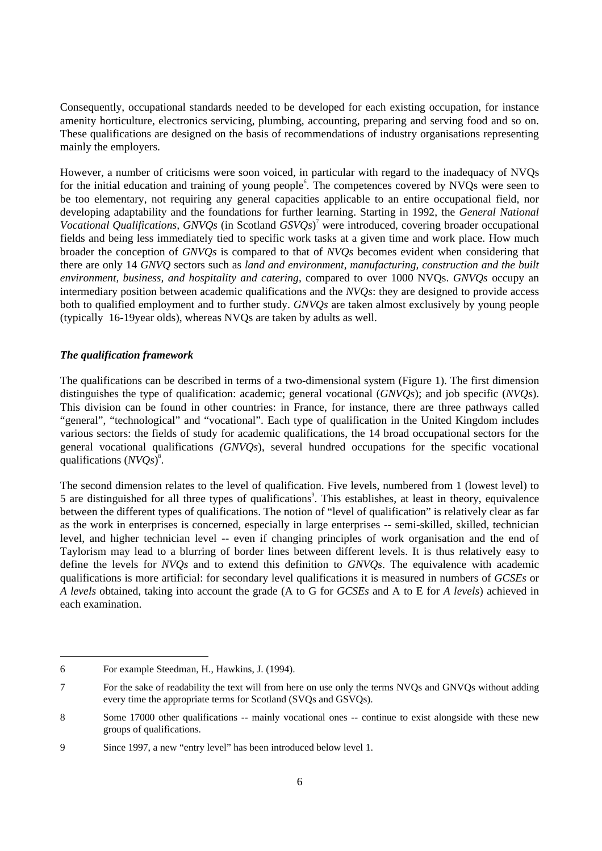Consequently, occupational standards needed to be developed for each existing occupation, for instance amenity horticulture, electronics servicing, plumbing, accounting, preparing and serving food and so on. These qualifications are designed on the basis of recommendations of industry organisations representing mainly the employers.

However, a number of criticisms were soon voiced, in particular with regard to the inadequacy of NVQs for the initial education and training of young people<sup>6</sup>. The competences covered by NVQs were seen to be too elementary, not requiring any general capacities applicable to an entire occupational field, nor developing adaptability and the foundations for further learning. Starting in 1992, the *General National Vocational Qualifications, GNVQs* (in Scotland *GSVQs*) 7 were introduced, covering broader occupational fields and being less immediately tied to specific work tasks at a given time and work place. How much broader the conception of *GNVQs* is compared to that of *NVQs* becomes evident when considering that there are only 14 *GNVQ* sectors such as *land and environment*, *manufacturing, construction and the built environment, business, and hospitality and catering*, compared to over 1000 NVQs. *GNVQs* occupy an intermediary position between academic qualifications and the *NVQs*: they are designed to provide access both to qualified employment and to further study. *GNVQs* are taken almost exclusively by young people (typically 16-19year olds), whereas NVQs are taken by adults as well.

## *The qualification framework*

The qualifications can be described in terms of a two-dimensional system (Figure 1). The first dimension distinguishes the type of qualification: academic; general vocational (*GNVQs*); and job specific (*NVQs*). This division can be found in other countries: in France, for instance, there are three pathways called "general", "technological" and "vocational". Each type of qualification in the United Kingdom includes various sectors: the fields of study for academic qualifications, the 14 broad occupational sectors for the general vocational qualifications *(GNVQs*), several hundred occupations for the specific vocational qualifications (*NVQs*)<sup>8</sup>.

The second dimension relates to the level of qualification. Five levels, numbered from 1 (lowest level) to 5 are distinguished for all three types of qualifications<sup>9</sup>. This establishes, at least in theory, equivalence between the different types of qualifications. The notion of "level of qualification" is relatively clear as far as the work in enterprises is concerned, especially in large enterprises -- semi-skilled, skilled, technician level, and higher technician level -- even if changing principles of work organisation and the end of Taylorism may lead to a blurring of border lines between different levels. It is thus relatively easy to define the levels for *NVQs* and to extend this definition to *GNVQs*. The equivalence with academic qualifications is more artificial: for secondary level qualifications it is measured in numbers of *GCSEs* or *A levels* obtained, taking into account the grade (A to G for *GCSEs* and A to E for *A levels*) achieved in each examination.

<sup>6</sup> For example Steedman, H., Hawkins, J. (1994).

<sup>7</sup> For the sake of readability the text will from here on use only the terms NVQs and GNVQs without adding every time the appropriate terms for Scotland (SVQs and GSVQs).

<sup>8</sup> Some 17000 other qualifications -- mainly vocational ones -- continue to exist alongside with these new groups of qualifications.

<sup>9</sup> Since 1997, a new "entry level" has been introduced below level 1.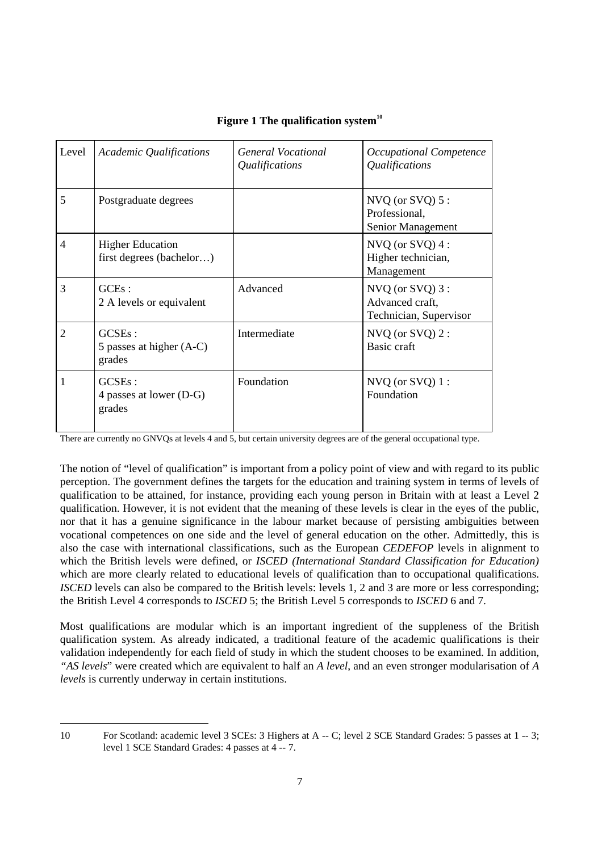| Level          | Academic Qualifications                             | General Vocational<br><i>Qualifications</i> | Occupational Competence<br>Qualifications                          |
|----------------|-----------------------------------------------------|---------------------------------------------|--------------------------------------------------------------------|
| 5              | Postgraduate degrees                                |                                             | $NVO$ (or $SVO$ ) 5 :<br>Professional,<br>Senior Management        |
| $\overline{4}$ | <b>Higher Education</b><br>first degrees (bachelor) |                                             | $NVO$ (or $SVO$ ) 4 :<br>Higher technician,<br>Management          |
| 3              | $GCEs$ :<br>2 A levels or equivalent                | Advanced                                    | $NVO$ (or $SVO$ ) 3 :<br>Advanced craft,<br>Technician, Supervisor |
| 2              | $GCSEs$ :<br>5 passes at higher (A-C)<br>grades     | Intermediate                                | $NVO$ (or $SVO$ ) 2 :<br>Basic craft                               |
|                | $GCSEs$ :<br>4 passes at lower (D-G)<br>grades      | Foundation                                  | $NVO$ (or $SVQ$ ) 1 :<br>Foundation                                |

## **Figure 1 The qualification system<sup>10</sup>**

There are currently no GNVQs at levels 4 and 5, but certain university degrees are of the general occupational type.

The notion of "level of qualification" is important from a policy point of view and with regard to its public perception. The government defines the targets for the education and training system in terms of levels of qualification to be attained, for instance, providing each young person in Britain with at least a Level 2 qualification. However, it is not evident that the meaning of these levels is clear in the eyes of the public, nor that it has a genuine significance in the labour market because of persisting ambiguities between vocational competences on one side and the level of general education on the other. Admittedly, this is also the case with international classifications, such as the European *CEDEFOP* levels in alignment to which the British levels were defined, or *ISCED (International Standard Classification for Education)* which are more clearly related to educational levels of qualification than to occupational qualifications. *ISCED* levels can also be compared to the British levels: levels 1, 2 and 3 are more or less corresponding; the British Level 4 corresponds to *ISCED* 5; the British Level 5 corresponds to *ISCED* 6 and 7.

Most qualifications are modular which is an important ingredient of the suppleness of the British qualification system. As already indicated, a traditional feature of the academic qualifications is their validation independently for each field of study in which the student chooses to be examined. In addition, *"AS levels*" were created which are equivalent to half an *A level*, and an even stronger modularisation of *A levels* is currently underway in certain institutions.

<sup>10</sup> For Scotland: academic level 3 SCEs: 3 Highers at A -- C; level 2 SCE Standard Grades: 5 passes at 1 -- 3; level 1 SCE Standard Grades: 4 passes at 4 -- 7.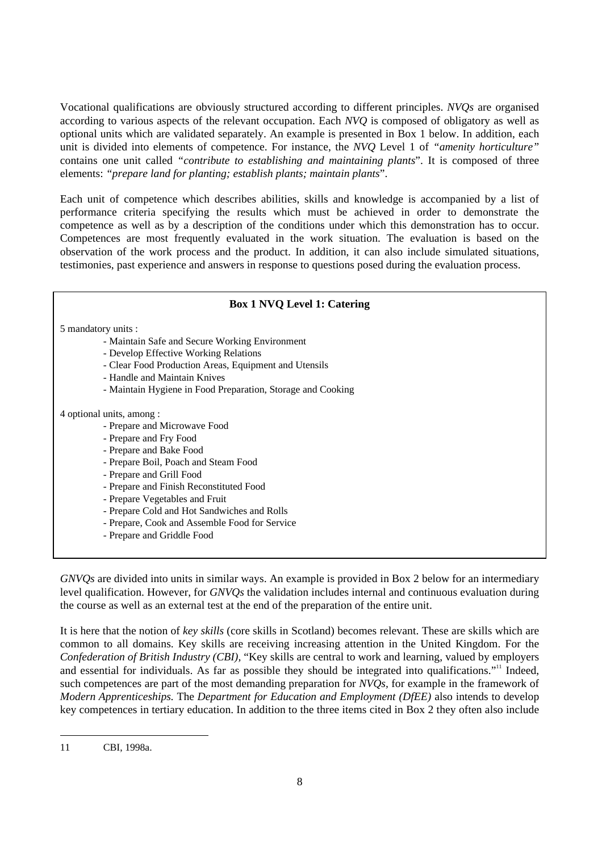Vocational qualifications are obviously structured according to different principles. *NVQs* are organised according to various aspects of the relevant occupation. Each *NVQ* is composed of obligatory as well as optional units which are validated separately. An example is presented in Box 1 below. In addition, each unit is divided into elements of competence. For instance, the *NVQ* Level 1 of *"amenity horticulture"* contains one unit called *"contribute to establishing and maintaining plants*". It is composed of three elements: *"prepare land for planting; establish plants; maintain plants*".

Each unit of competence which describes abilities, skills and knowledge is accompanied by a list of performance criteria specifying the results which must be achieved in order to demonstrate the competence as well as by a description of the conditions under which this demonstration has to occur. Competences are most frequently evaluated in the work situation. The evaluation is based on the observation of the work process and the product. In addition, it can also include simulated situations, testimonies, past experience and answers in response to questions posed during the evaluation process.

## **Box 1 NVQ Level 1: Catering** 5 mandatory units : - Maintain Safe and Secure Working Environment - Develop Effective Working Relations - Clear Food Production Areas, Equipment and Utensils - Handle and Maintain Knives - Maintain Hygiene in Food Preparation, Storage and Cooking 4 optional units, among : - Prepare and Microwave Food - Prepare and Fry Food - Prepare and Bake Food - Prepare Boil, Poach and Steam Food - Prepare and Grill Food - Prepare and Finish Reconstituted Food - Prepare Vegetables and Fruit - Prepare Cold and Hot Sandwiches and Rolls - Prepare, Cook and Assemble Food for Service - Prepare and Griddle Food

*GNVQs* are divided into units in similar ways. An example is provided in Box 2 below for an intermediary level qualification. However, for *GNVQs* the validation includes internal and continuous evaluation during the course as well as an external test at the end of the preparation of the entire unit.

It is here that the notion of *key skills* (core skills in Scotland) becomes relevant. These are skills which are common to all domains. Key skills are receiving increasing attention in the United Kingdom. For the *Confederation of British Industry (CBI),* "Key skills are central to work and learning, valued by employers and essential for individuals. As far as possible they should be integrated into qualifications."<sup>11</sup> Indeed, such competences are part of the most demanding preparation for *NVQs,* for example in the framework of *Modern Apprenticeships.* The *Department for Education and Employment (DfEE)* also intends to develop key competences in tertiary education. In addition to the three items cited in Box 2 they often also include

<sup>11</sup> CBI, 1998a.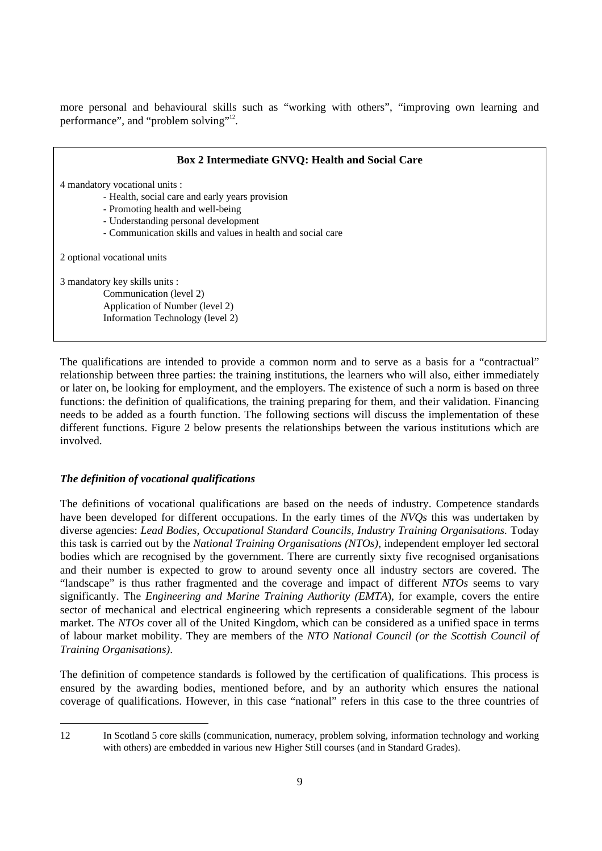more personal and behavioural skills such as "working with others", "improving own learning and performance", and "problem solving"<sup>12</sup>.

| <b>Box 2 Intermediate GNVQ: Health and Social Care</b>      |
|-------------------------------------------------------------|
| 4 mandatory vocational units :                              |
| - Health, social care and early years provision             |
| - Promoting health and well-being                           |
| - Understanding personal development                        |
| - Communication skills and values in health and social care |
| 2 optional vocational units                                 |
| 3 mandatory key skills units :                              |
| Communication (level 2)                                     |
| Application of Number (level 2)                             |
| Information Technology (level 2)                            |
|                                                             |

The qualifications are intended to provide a common norm and to serve as a basis for a "contractual" relationship between three parties: the training institutions, the learners who will also, either immediately or later on, be looking for employment, and the employers. The existence of such a norm is based on three functions: the definition of qualifications, the training preparing for them, and their validation. Financing needs to be added as a fourth function. The following sections will discuss the implementation of these different functions. Figure 2 below presents the relationships between the various institutions which are involved.

## *The definition of vocational qualifications*

The definitions of vocational qualifications are based on the needs of industry. Competence standards have been developed for different occupations. In the early times of the *NVQs* this was undertaken by diverse agencies: *Lead Bodies, Occupational Standard Councils, Industry Training Organisations.* Today this task is carried out by the *National Training Organisations (NTOs)*, independent employer led sectoral bodies which are recognised by the government. There are currently sixty five recognised organisations and their number is expected to grow to around seventy once all industry sectors are covered. The "landscape" is thus rather fragmented and the coverage and impact of different *NTOs* seems to vary significantly. The *Engineering and Marine Training Authority (EMTA*), for example, covers the entire sector of mechanical and electrical engineering which represents a considerable segment of the labour market. The *NTOs* cover all of the United Kingdom, which can be considered as a unified space in terms of labour market mobility. They are members of the *NTO National Council (or the Scottish Council of Training Organisations)*.

The definition of competence standards is followed by the certification of qualifications. This process is ensured by the awarding bodies, mentioned before, and by an authority which ensures the national coverage of qualifications. However, in this case "national" refers in this case to the three countries of

<sup>12</sup> In Scotland 5 core skills (communication, numeracy, problem solving, information technology and working with others) are embedded in various new Higher Still courses (and in Standard Grades).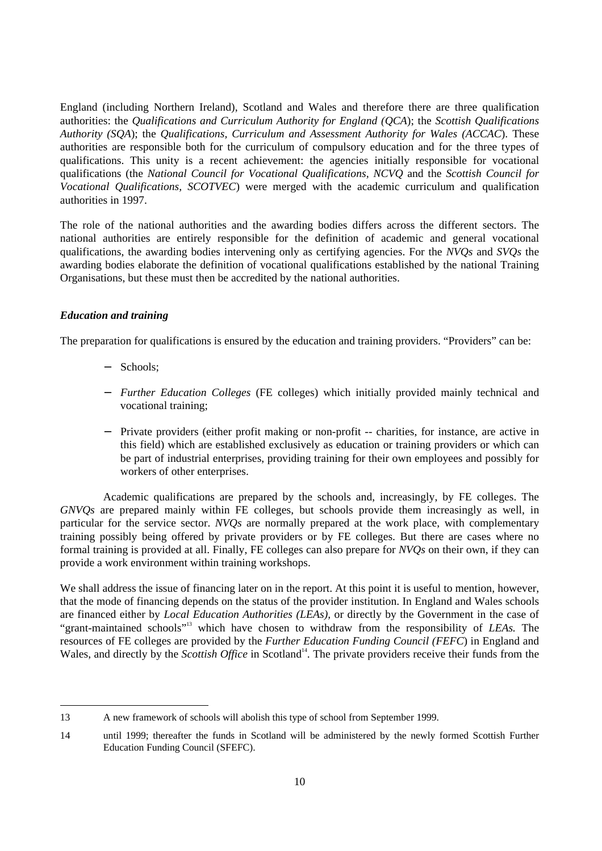England (including Northern Ireland), Scotland and Wales and therefore there are three qualification authorities: the *Qualifications and Curriculum Authority for England (QCA*); the *Scottish Qualifications Authority (SQA*); the *Qualifications, Curriculum and Assessment Authority for Wales (ACCAC*). These authorities are responsible both for the curriculum of compulsory education and for the three types of qualifications. This unity is a recent achievement: the agencies initially responsible for vocational qualifications (the *National Council for Vocational Qualifications, NCVQ* and the *Scottish Council for Vocational Qualifications, SCOTVEC*) were merged with the academic curriculum and qualification authorities in 1997.

The role of the national authorities and the awarding bodies differs across the different sectors. The national authorities are entirely responsible for the definition of academic and general vocational qualifications, the awarding bodies intervening only as certifying agencies. For the *NVQs* and *SVQs* the awarding bodies elaborate the definition of vocational qualifications established by the national Training Organisations, but these must then be accredited by the national authorities.

## *Education and training*

The preparation for qualifications is ensured by the education and training providers. "Providers" can be:

- − Schools;
- − *Further Education Colleges* (FE colleges) which initially provided mainly technical and vocational training;
- − Private providers (either profit making or non-profit -- charities, for instance, are active in this field) which are established exclusively as education or training providers or which can be part of industrial enterprises, providing training for their own employees and possibly for workers of other enterprises.

Academic qualifications are prepared by the schools and, increasingly, by FE colleges. The *GNVQs* are prepared mainly within FE colleges, but schools provide them increasingly as well, in particular for the service sector. *NVQs* are normally prepared at the work place, with complementary training possibly being offered by private providers or by FE colleges. But there are cases where no formal training is provided at all. Finally, FE colleges can also prepare for *NVQs* on their own, if they can provide a work environment within training workshops.

We shall address the issue of financing later on in the report. At this point it is useful to mention, however, that the mode of financing depends on the status of the provider institution. In England and Wales schools are financed either by *Local Education Authorities (LEAs),* or directly by the Government in the case of "grant-maintained schools"<sup>13</sup> which have chosen to withdraw from the responsibility of *LEAs.* The resources of FE colleges are provided by the *Further Education Funding Council (FEFC*) in England and Wales, and directly by the *Scottish Office* in Scotland<sup>14</sup>. The private providers receive their funds from the

<sup>13</sup> A new framework of schools will abolish this type of school from September 1999.

<sup>14</sup> until 1999; thereafter the funds in Scotland will be administered by the newly formed Scottish Further Education Funding Council (SFEFC).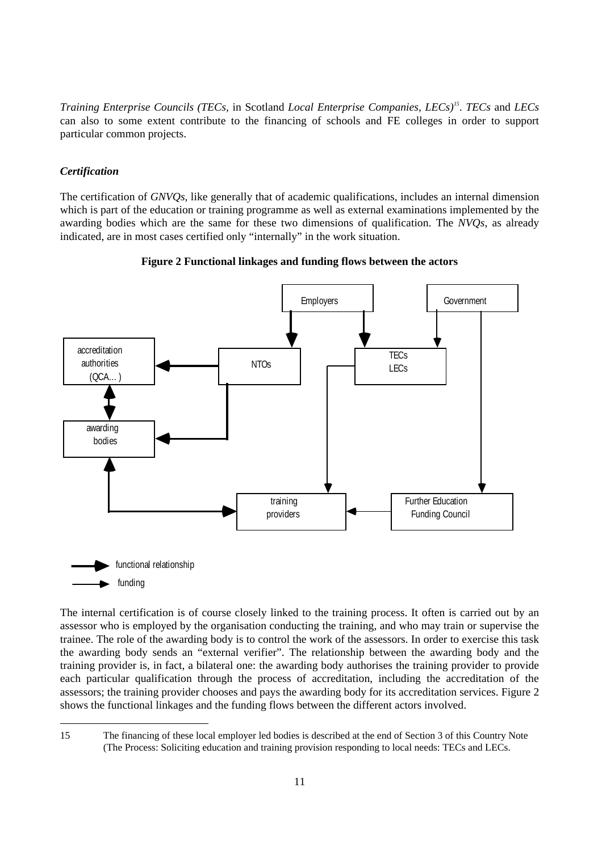*Training Enterprise Councils (TECs,* in Scotland *Local Enterprise Companies, LECs)<sup>15</sup>* . *TECs* and *LECs* can also to some extent contribute to the financing of schools and FE colleges in order to support particular common projects.

#### *Certification*

The certification of *GNVQs,* like generally that of academic qualifications, includes an internal dimension which is part of the education or training programme as well as external examinations implemented by the awarding bodies which are the same for these two dimensions of qualification. The *NVQs*, as already indicated, are in most cases certified only "internally" in the work situation.





The internal certification is of course closely linked to the training process. It often is carried out by an assessor who is employed by the organisation conducting the training, and who may train or supervise the trainee. The role of the awarding body is to control the work of the assessors. In order to exercise this task the awarding body sends an "external verifier". The relationship between the awarding body and the training provider is, in fact, a bilateral one: the awarding body authorises the training provider to provide each particular qualification through the process of accreditation, including the accreditation of the assessors; the training provider chooses and pays the awarding body for its accreditation services. Figure 2 shows the functional linkages and the funding flows between the different actors involved.

<sup>15</sup> The financing of these local employer led bodies is described at the end of Section 3 of this Country Note (The Process: Soliciting education and training provision responding to local needs: TECs and LECs.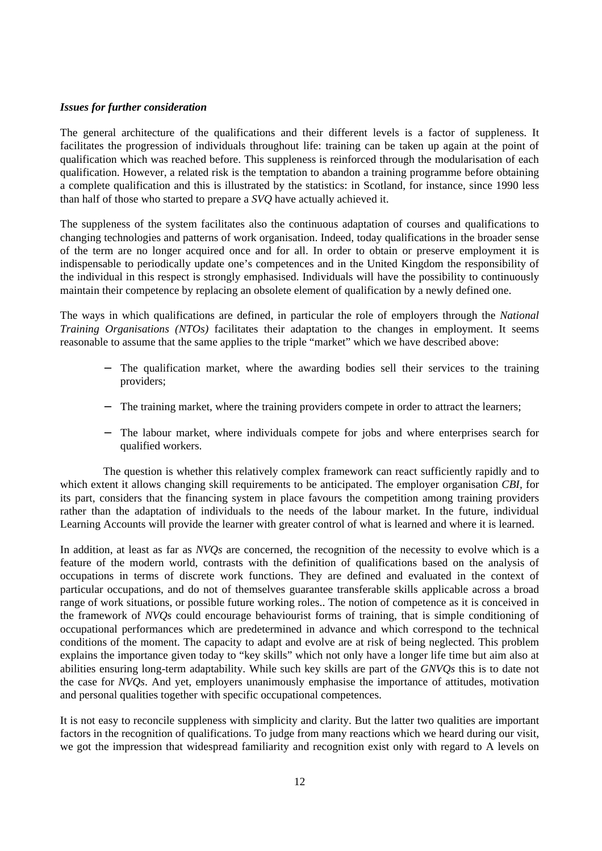## *Issues for further consideration*

The general architecture of the qualifications and their different levels is a factor of suppleness. It facilitates the progression of individuals throughout life: training can be taken up again at the point of qualification which was reached before. This suppleness is reinforced through the modularisation of each qualification. However, a related risk is the temptation to abandon a training programme before obtaining a complete qualification and this is illustrated by the statistics: in Scotland, for instance, since 1990 less than half of those who started to prepare a *SVQ* have actually achieved it.

The suppleness of the system facilitates also the continuous adaptation of courses and qualifications to changing technologies and patterns of work organisation. Indeed, today qualifications in the broader sense of the term are no longer acquired once and for all. In order to obtain or preserve employment it is indispensable to periodically update one's competences and in the United Kingdom the responsibility of the individual in this respect is strongly emphasised. Individuals will have the possibility to continuously maintain their competence by replacing an obsolete element of qualification by a newly defined one.

The ways in which qualifications are defined, in particular the role of employers through the *National Training Organisations (NTOs)* facilitates their adaptation to the changes in employment. It seems reasonable to assume that the same applies to the triple "market" which we have described above:

- The qualification market, where the awarding bodies sell their services to the training providers;
- − The training market, where the training providers compete in order to attract the learners;
- − The labour market, where individuals compete for jobs and where enterprises search for qualified workers.

The question is whether this relatively complex framework can react sufficiently rapidly and to which extent it allows changing skill requirements to be anticipated. The employer organisation *CBI,* for its part, considers that the financing system in place favours the competition among training providers rather than the adaptation of individuals to the needs of the labour market. In the future, individual Learning Accounts will provide the learner with greater control of what is learned and where it is learned.

In addition, at least as far as *NVQs* are concerned, the recognition of the necessity to evolve which is a feature of the modern world, contrasts with the definition of qualifications based on the analysis of occupations in terms of discrete work functions. They are defined and evaluated in the context of particular occupations, and do not of themselves guarantee transferable skills applicable across a broad range of work situations, or possible future working roles.. The notion of competence as it is conceived in the framework of *NVQs* could encourage behaviourist forms of training, that is simple conditioning of occupational performances which are predetermined in advance and which correspond to the technical conditions of the moment. The capacity to adapt and evolve are at risk of being neglected. This problem explains the importance given today to "key skills" which not only have a longer life time but aim also at abilities ensuring long-term adaptability. While such key skills are part of the *GNVQs* this is to date not the case for *NVQs*. And yet, employers unanimously emphasise the importance of attitudes, motivation and personal qualities together with specific occupational competences.

It is not easy to reconcile suppleness with simplicity and clarity. But the latter two qualities are important factors in the recognition of qualifications. To judge from many reactions which we heard during our visit, we got the impression that widespread familiarity and recognition exist only with regard to A levels on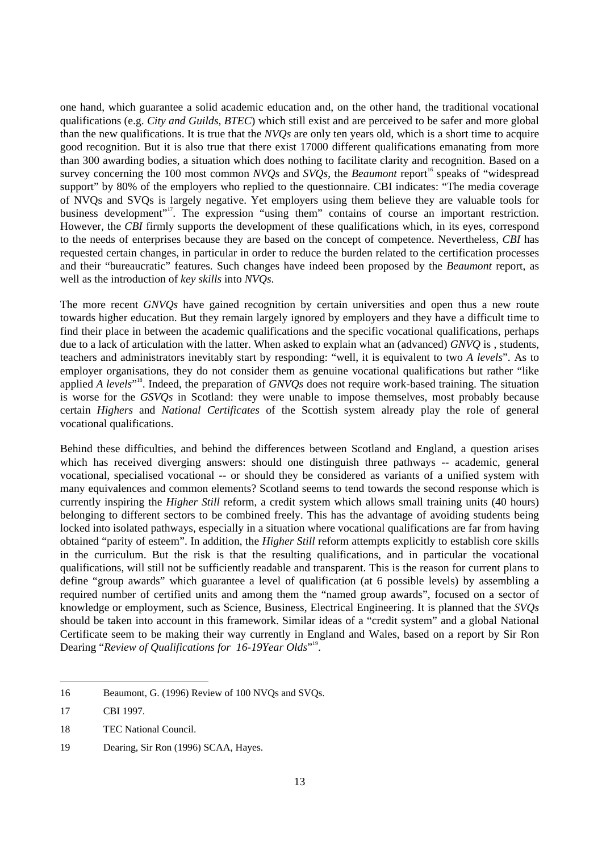one hand, which guarantee a solid academic education and, on the other hand, the traditional vocational qualifications (e.g. *City and Guilds, BTEC*) which still exist and are perceived to be safer and more global than the new qualifications. It is true that the *NVQs* are only ten years old, which is a short time to acquire good recognition. But it is also true that there exist 17000 different qualifications emanating from more than 300 awarding bodies, a situation which does nothing to facilitate clarity and recognition. Based on a survey concerning the 100 most common *NVOs* and *SVOs*, the *Beaumont* report<sup>16</sup> speaks of "widespread" support" by 80% of the employers who replied to the questionnaire. CBI indicates: "The media coverage of NVQs and SVQs is largely negative. Yet employers using them believe they are valuable tools for business development"<sup>17</sup>. The expression "using them" contains of course an important restriction. However, the *CBI* firmly supports the development of these qualifications which, in its eyes, correspond to the needs of enterprises because they are based on the concept of competence. Nevertheless, *CBI* has requested certain changes, in particular in order to reduce the burden related to the certification processes and their "bureaucratic" features. Such changes have indeed been proposed by the *Beaumont* report, as well as the introduction of *key skills* into *NVQs*.

The more recent *GNVQs* have gained recognition by certain universities and open thus a new route towards higher education. But they remain largely ignored by employers and they have a difficult time to find their place in between the academic qualifications and the specific vocational qualifications, perhaps due to a lack of articulation with the latter. When asked to explain what an (advanced) *GNVQ* is , students, teachers and administrators inevitably start by responding: "well, it is equivalent to two *A levels*". As to employer organisations, they do not consider them as genuine vocational qualifications but rather "like applied *A levels*<sup>"8</sup>. Indeed, the preparation of *GNVQs* does not require work-based training. The situation is worse for the *GSVQs* in Scotland: they were unable to impose themselves, most probably because certain *Highers* and *National Certificates* of the Scottish system already play the role of general vocational qualifications.

Behind these difficulties, and behind the differences between Scotland and England, a question arises which has received diverging answers: should one distinguish three pathways -- academic, general vocational, specialised vocational -- or should they be considered as variants of a unified system with many equivalences and common elements? Scotland seems to tend towards the second response which is currently inspiring the *Higher Still* reform, a credit system which allows small training units (40 hours) belonging to different sectors to be combined freely. This has the advantage of avoiding students being locked into isolated pathways, especially in a situation where vocational qualifications are far from having obtained "parity of esteem". In addition, the *Higher Still* reform attempts explicitly to establish core skills in the curriculum. But the risk is that the resulting qualifications, and in particular the vocational qualifications, will still not be sufficiently readable and transparent. This is the reason for current plans to define "group awards" which guarantee a level of qualification (at 6 possible levels) by assembling a required number of certified units and among them the "named group awards", focused on a sector of knowledge or employment, such as Science, Business, Electrical Engineering. It is planned that the *SVQs* should be taken into account in this framework. Similar ideas of a "credit system" and a global National Certificate seem to be making their way currently in England and Wales, based on a report by Sir Ron Dearing "Review of Qualifications for 16-19Year Olds"<sup>19</sup>.

<sup>16</sup> Beaumont, G. (1996) Review of 100 NVQs and SVQs.

<sup>17</sup> CBI 1997.

<sup>18</sup> TEC National Council.

<sup>19</sup> Dearing, Sir Ron (1996) SCAA, Hayes.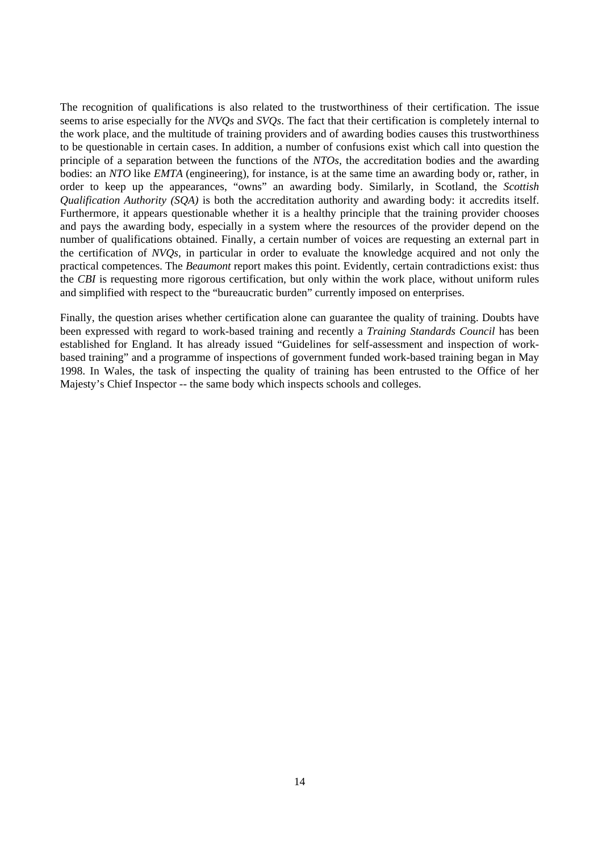The recognition of qualifications is also related to the trustworthiness of their certification. The issue seems to arise especially for the *NVQs* and *SVQs*. The fact that their certification is completely internal to the work place, and the multitude of training providers and of awarding bodies causes this trustworthiness to be questionable in certain cases. In addition, a number of confusions exist which call into question the principle of a separation between the functions of the *NTOs*, the accreditation bodies and the awarding bodies: an *NTO* like *EMTA* (engineering), for instance, is at the same time an awarding body or, rather, in order to keep up the appearances, "owns" an awarding body. Similarly, in Scotland, the *Scottish Qualification Authority (SQA)* is both the accreditation authority and awarding body: it accredits itself. Furthermore, it appears questionable whether it is a healthy principle that the training provider chooses and pays the awarding body, especially in a system where the resources of the provider depend on the number of qualifications obtained. Finally, a certain number of voices are requesting an external part in the certification of *NVQs*, in particular in order to evaluate the knowledge acquired and not only the practical competences. The *Beaumont* report makes this point. Evidently, certain contradictions exist: thus the *CBI* is requesting more rigorous certification, but only within the work place, without uniform rules and simplified with respect to the "bureaucratic burden" currently imposed on enterprises.

Finally, the question arises whether certification alone can guarantee the quality of training. Doubts have been expressed with regard to work-based training and recently a *Training Standards Council* has been established for England. It has already issued "Guidelines for self-assessment and inspection of workbased training" and a programme of inspections of government funded work-based training began in May 1998. In Wales, the task of inspecting the quality of training has been entrusted to the Office of her Majesty's Chief Inspector -- the same body which inspects schools and colleges.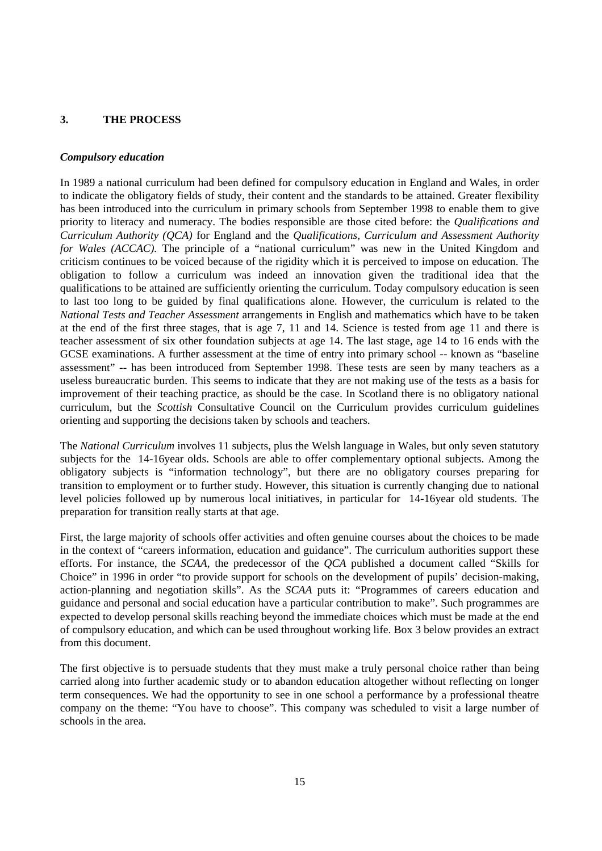## **3. THE PROCESS**

## *Compulsory education*

In 1989 a national curriculum had been defined for compulsory education in England and Wales, in order to indicate the obligatory fields of study, their content and the standards to be attained. Greater flexibility has been introduced into the curriculum in primary schools from September 1998 to enable them to give priority to literacy and numeracy. The bodies responsible are those cited before: the *Qualifications and Curriculum Authority (QCA)* for England and the *Qualifications, Curriculum and Assessment Authority for Wales (ACCAC).* The principle of a "national curriculum" was new in the United Kingdom and criticism continues to be voiced because of the rigidity which it is perceived to impose on education. The obligation to follow a curriculum was indeed an innovation given the traditional idea that the qualifications to be attained are sufficiently orienting the curriculum. Today compulsory education is seen to last too long to be guided by final qualifications alone. However, the curriculum is related to the *National Tests and Teacher Assessment* arrangements in English and mathematics which have to be taken at the end of the first three stages, that is age 7, 11 and 14. Science is tested from age 11 and there is teacher assessment of six other foundation subjects at age 14. The last stage, age 14 to 16 ends with the GCSE examinations. A further assessment at the time of entry into primary school -- known as "baseline assessment" -- has been introduced from September 1998. These tests are seen by many teachers as a useless bureaucratic burden. This seems to indicate that they are not making use of the tests as a basis for improvement of their teaching practice, as should be the case. In Scotland there is no obligatory national curriculum, but the *Scottish* Consultative Council on the Curriculum provides curriculum guidelines orienting and supporting the decisions taken by schools and teachers.

The *National Curriculum* involves 11 subjects, plus the Welsh language in Wales, but only seven statutory subjects for the 14-16year olds. Schools are able to offer complementary optional subjects. Among the obligatory subjects is "information technology", but there are no obligatory courses preparing for transition to employment or to further study. However, this situation is currently changing due to national level policies followed up by numerous local initiatives, in particular for 14-16year old students. The preparation for transition really starts at that age.

First, the large majority of schools offer activities and often genuine courses about the choices to be made in the context of "careers information, education and guidance". The curriculum authorities support these efforts. For instance, the *SCAA*, the predecessor of the *QCA* published a document called "Skills for Choice" in 1996 in order "to provide support for schools on the development of pupils' decision-making, action-planning and negotiation skills". As the *SCAA* puts it: "Programmes of careers education and guidance and personal and social education have a particular contribution to make". Such programmes are expected to develop personal skills reaching beyond the immediate choices which must be made at the end of compulsory education, and which can be used throughout working life. Box 3 below provides an extract from this document.

The first objective is to persuade students that they must make a truly personal choice rather than being carried along into further academic study or to abandon education altogether without reflecting on longer term consequences. We had the opportunity to see in one school a performance by a professional theatre company on the theme: "You have to choose". This company was scheduled to visit a large number of schools in the area.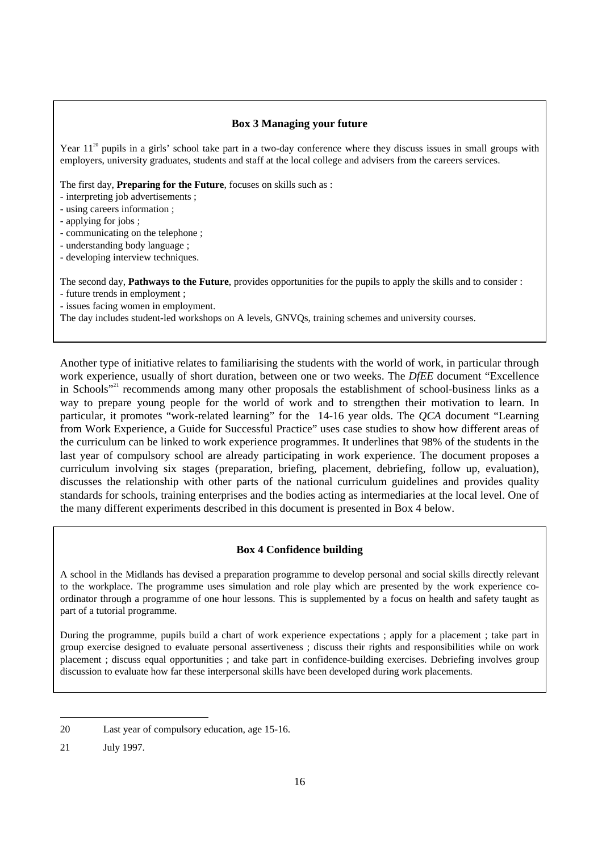## **Box 3 Managing your future**

Year  $11^{20}$  pupils in a girls' school take part in a two-day conference where they discuss issues in small groups with employers, university graduates, students and staff at the local college and advisers from the careers services.

The first day, **Preparing for the Future**, focuses on skills such as :

- interpreting job advertisements ;
- using careers information ;
- applying for jobs ;
- communicating on the telephone ;
- understanding body language ;
- developing interview techniques.

The second day, **Pathways to the Future**, provides opportunities for the pupils to apply the skills and to consider : - future trends in employment ;

- issues facing women in employment.

The day includes student-led workshops on A levels, GNVQs, training schemes and university courses.

Another type of initiative relates to familiarising the students with the world of work, in particular through work experience, usually of short duration, between one or two weeks. The *DfEE* document "Excellence in Schools"<sup>21</sup> recommends among many other proposals the establishment of school-business links as a way to prepare young people for the world of work and to strengthen their motivation to learn. In particular, it promotes "work-related learning" for the 14-16 year olds. The *QCA* document "Learning from Work Experience, a Guide for Successful Practice" uses case studies to show how different areas of the curriculum can be linked to work experience programmes. It underlines that 98% of the students in the last year of compulsory school are already participating in work experience. The document proposes a curriculum involving six stages (preparation, briefing, placement, debriefing, follow up, evaluation), discusses the relationship with other parts of the national curriculum guidelines and provides quality standards for schools, training enterprises and the bodies acting as intermediaries at the local level. One of the many different experiments described in this document is presented in Box 4 below.

## **Box 4 Confidence building**

A school in the Midlands has devised a preparation programme to develop personal and social skills directly relevant to the workplace. The programme uses simulation and role play which are presented by the work experience coordinator through a programme of one hour lessons. This is supplemented by a focus on health and safety taught as part of a tutorial programme.

During the programme, pupils build a chart of work experience expectations ; apply for a placement ; take part in group exercise designed to evaluate personal assertiveness ; discuss their rights and responsibilities while on work placement ; discuss equal opportunities ; and take part in confidence-building exercises. Debriefing involves group discussion to evaluate how far these interpersonal skills have been developed during work placements.

<sup>20</sup> Last year of compulsory education, age 15-16.

<sup>21</sup> July 1997.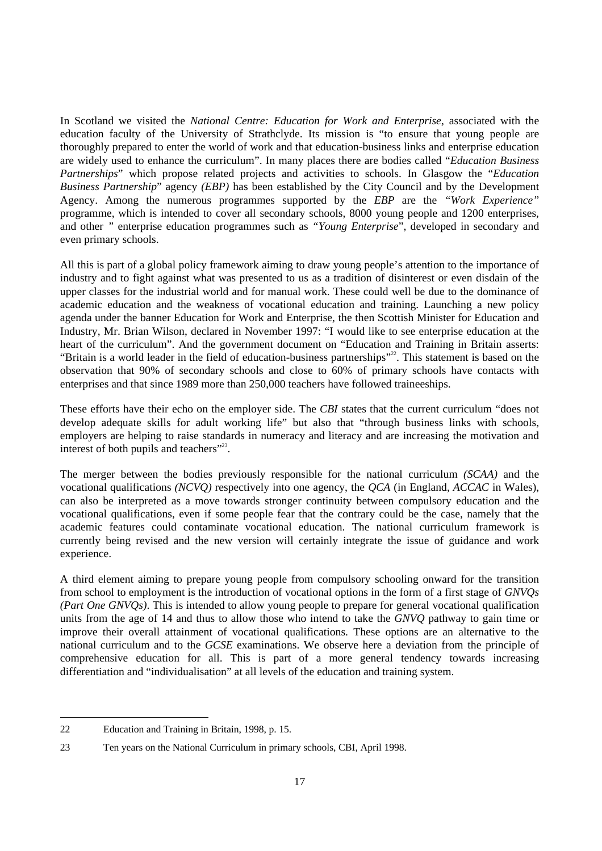In Scotland we visited the *National Centre: Education for Work and Enterprise*, associated with the education faculty of the University of Strathclyde. Its mission is "to ensure that young people are thoroughly prepared to enter the world of work and that education-business links and enterprise education are widely used to enhance the curriculum". In many places there are bodies called "*Education Business Partnerships*" which propose related projects and activities to schools. In Glasgow the "*Education Business Partnership*" agency *(EBP)* has been established by the City Council and by the Development Agency. Among the numerous programmes supported by the *EBP* are the *"Work Experience"* programme, which is intended to cover all secondary schools, 8000 young people and 1200 enterprises, and other *"* enterprise education programmes such as *"Young Enterprise*", developed in secondary and even primary schools.

All this is part of a global policy framework aiming to draw young people's attention to the importance of industry and to fight against what was presented to us as a tradition of disinterest or even disdain of the upper classes for the industrial world and for manual work. These could well be due to the dominance of academic education and the weakness of vocational education and training. Launching a new policy agenda under the banner Education for Work and Enterprise, the then Scottish Minister for Education and Industry, Mr. Brian Wilson, declared in November 1997: "I would like to see enterprise education at the heart of the curriculum". And the government document on "Education and Training in Britain asserts: "Britain is a world leader in the field of education-business partnerships"<sup>22</sup>. This statement is based on the observation that 90% of secondary schools and close to 60% of primary schools have contacts with enterprises and that since 1989 more than 250,000 teachers have followed traineeships.

These efforts have their echo on the employer side. The *CBI* states that the current curriculum "does not develop adequate skills for adult working life" but also that "through business links with schools, employers are helping to raise standards in numeracy and literacy and are increasing the motivation and interest of both pupils and teachers"<sup>23</sup>.

The merger between the bodies previously responsible for the national curriculum *(SCAA)* and the vocational qualifications *(NCVQ)* respectively into one agency, the *QCA* (in England, *ACCAC* in Wales), can also be interpreted as a move towards stronger continuity between compulsory education and the vocational qualifications, even if some people fear that the contrary could be the case, namely that the academic features could contaminate vocational education. The national curriculum framework is currently being revised and the new version will certainly integrate the issue of guidance and work experience.

A third element aiming to prepare young people from compulsory schooling onward for the transition from school to employment is the introduction of vocational options in the form of a first stage of *GNVQs (Part One GNVQs)*. This is intended to allow young people to prepare for general vocational qualification units from the age of 14 and thus to allow those who intend to take the *GNVQ* pathway to gain time or improve their overall attainment of vocational qualifications. These options are an alternative to the national curriculum and to the *GCSE* examinations. We observe here a deviation from the principle of comprehensive education for all. This is part of a more general tendency towards increasing differentiation and "individualisation" at all levels of the education and training system.

<sup>22</sup> Education and Training in Britain, 1998, p. 15.

<sup>23</sup> Ten years on the National Curriculum in primary schools, CBI, April 1998.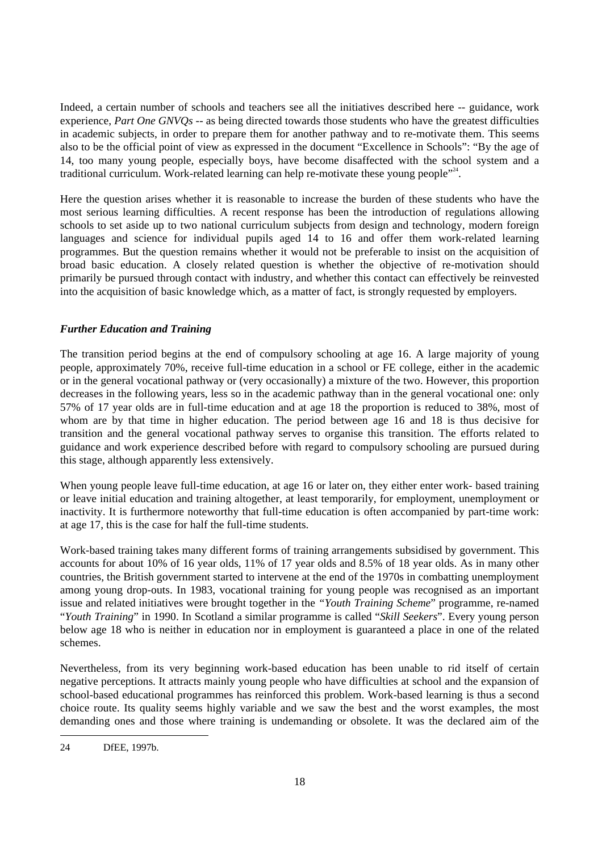Indeed, a certain number of schools and teachers see all the initiatives described here -- guidance, work experience, *Part One GNVQs* -- as being directed towards those students who have the greatest difficulties in academic subjects, in order to prepare them for another pathway and to re-motivate them. This seems also to be the official point of view as expressed in the document "Excellence in Schools": "By the age of 14, too many young people, especially boys, have become disaffected with the school system and a traditional curriculum. Work-related learning can help re-motivate these young people"<sup>24</sup>.

Here the question arises whether it is reasonable to increase the burden of these students who have the most serious learning difficulties. A recent response has been the introduction of regulations allowing schools to set aside up to two national curriculum subjects from design and technology, modern foreign languages and science for individual pupils aged 14 to 16 and offer them work-related learning programmes. But the question remains whether it would not be preferable to insist on the acquisition of broad basic education. A closely related question is whether the objective of re-motivation should primarily be pursued through contact with industry, and whether this contact can effectively be reinvested into the acquisition of basic knowledge which, as a matter of fact, is strongly requested by employers.

## *Further Education and Training*

The transition period begins at the end of compulsory schooling at age 16. A large majority of young people, approximately 70%, receive full-time education in a school or FE college, either in the academic or in the general vocational pathway or (very occasionally) a mixture of the two. However, this proportion decreases in the following years, less so in the academic pathway than in the general vocational one: only 57% of 17 year olds are in full-time education and at age 18 the proportion is reduced to 38%, most of whom are by that time in higher education. The period between age 16 and 18 is thus decisive for transition and the general vocational pathway serves to organise this transition. The efforts related to guidance and work experience described before with regard to compulsory schooling are pursued during this stage, although apparently less extensively.

When young people leave full-time education, at age 16 or later on, they either enter work- based training or leave initial education and training altogether, at least temporarily, for employment, unemployment or inactivity. It is furthermore noteworthy that full-time education is often accompanied by part-time work: at age 17, this is the case for half the full-time students.

Work-based training takes many different forms of training arrangements subsidised by government. This accounts for about 10% of 16 year olds, 11% of 17 year olds and 8.5% of 18 year olds. As in many other countries, the British government started to intervene at the end of the 1970s in combatting unemployment among young drop-outs. In 1983, vocational training for young people was recognised as an important issue and related initiatives were brought together in the *"Youth Training Scheme*" programme, re-named "*Youth Training*" in 1990. In Scotland a similar programme is called "*Skill Seekers*". Every young person below age 18 who is neither in education nor in employment is guaranteed a place in one of the related schemes.

Nevertheless, from its very beginning work-based education has been unable to rid itself of certain negative perceptions. It attracts mainly young people who have difficulties at school and the expansion of school-based educational programmes has reinforced this problem. Work-based learning is thus a second choice route. Its quality seems highly variable and we saw the best and the worst examples, the most demanding ones and those where training is undemanding or obsolete. It was the declared aim of the

<sup>24</sup> DfEE, 1997b.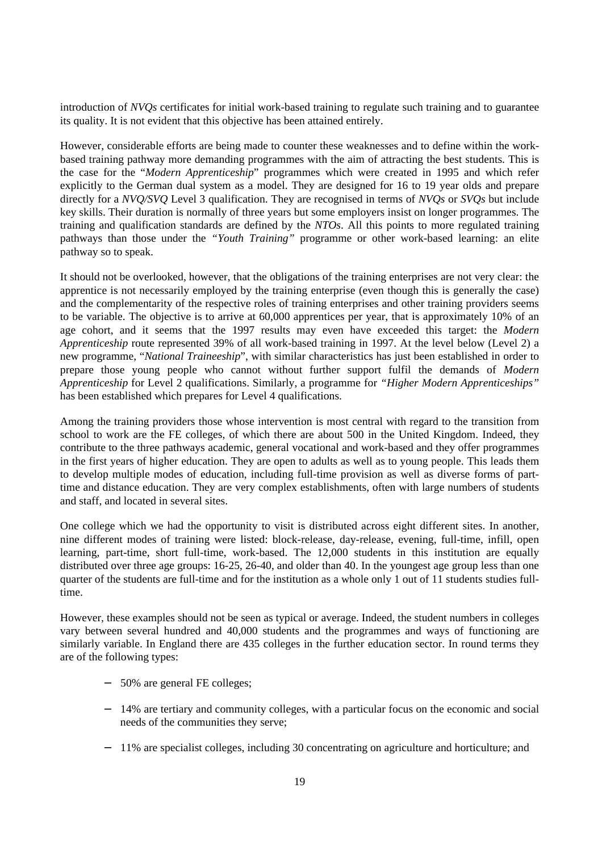introduction of *NVQs* certificates for initial work-based training to regulate such training and to guarantee its quality. It is not evident that this objective has been attained entirely.

However, considerable efforts are being made to counter these weaknesses and to define within the workbased training pathway more demanding programmes with the aim of attracting the best students. This is the case for the "*Modern Apprenticeship*" programmes which were created in 1995 and which refer explicitly to the German dual system as a model. They are designed for 16 to 19 year olds and prepare directly for a *NVQ/SVQ* Level 3 qualification. They are recognised in terms of *NVQs* or *SVQs* but include key skills. Their duration is normally of three years but some employers insist on longer programmes. The training and qualification standards are defined by the *NTOs*. All this points to more regulated training pathways than those under the *"Youth Training"* programme or other work-based learning: an elite pathway so to speak.

It should not be overlooked, however, that the obligations of the training enterprises are not very clear: the apprentice is not necessarily employed by the training enterprise (even though this is generally the case) and the complementarity of the respective roles of training enterprises and other training providers seems to be variable. The objective is to arrive at 60,000 apprentices per year, that is approximately 10% of an age cohort, and it seems that the 1997 results may even have exceeded this target: the *Modern Apprenticeship* route represented 39% of all work-based training in 1997. At the level below (Level 2) a new programme, "*National Traineeship*", with similar characteristics has just been established in order to prepare those young people who cannot without further support fulfil the demands of *Modern Apprenticeship* for Level 2 qualifications. Similarly, a programme for *"Higher Modern Apprenticeships"* has been established which prepares for Level 4 qualifications.

Among the training providers those whose intervention is most central with regard to the transition from school to work are the FE colleges, of which there are about 500 in the United Kingdom. Indeed, they contribute to the three pathways academic, general vocational and work-based and they offer programmes in the first years of higher education. They are open to adults as well as to young people. This leads them to develop multiple modes of education, including full-time provision as well as diverse forms of parttime and distance education. They are very complex establishments, often with large numbers of students and staff, and located in several sites.

One college which we had the opportunity to visit is distributed across eight different sites. In another, nine different modes of training were listed: block-release, day-release, evening, full-time, infill, open learning, part-time, short full-time, work-based. The 12,000 students in this institution are equally distributed over three age groups: 16-25, 26-40, and older than 40. In the youngest age group less than one quarter of the students are full-time and for the institution as a whole only 1 out of 11 students studies fulltime.

However, these examples should not be seen as typical or average. Indeed, the student numbers in colleges vary between several hundred and 40,000 students and the programmes and ways of functioning are similarly variable. In England there are 435 colleges in the further education sector. In round terms they are of the following types:

- − 50% are general FE colleges;
- − 14% are tertiary and community colleges, with a particular focus on the economic and social needs of the communities they serve;
- − 11% are specialist colleges, including 30 concentrating on agriculture and horticulture; and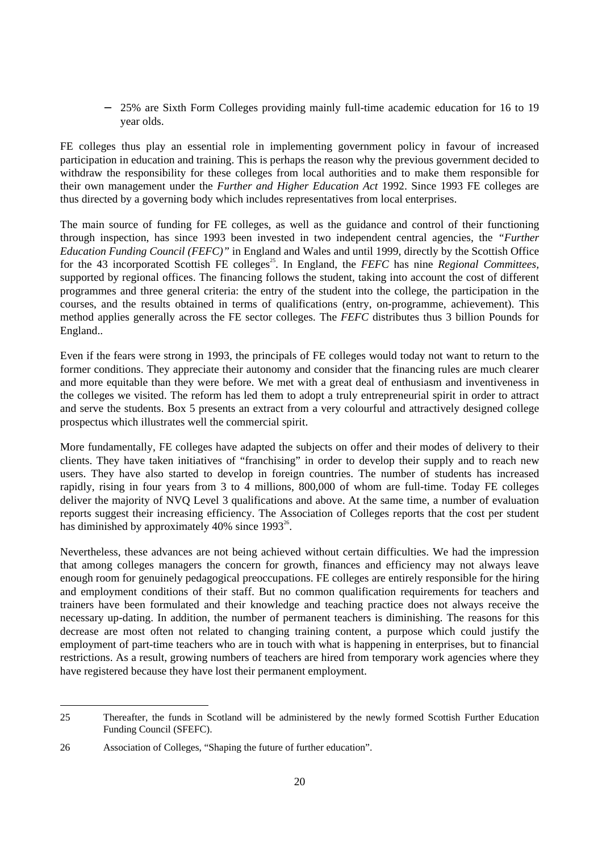− 25% are Sixth Form Colleges providing mainly full-time academic education for 16 to 19 year olds.

FE colleges thus play an essential role in implementing government policy in favour of increased participation in education and training. This is perhaps the reason why the previous government decided to withdraw the responsibility for these colleges from local authorities and to make them responsible for their own management under the *Further and Higher Education Act* 1992. Since 1993 FE colleges are thus directed by a governing body which includes representatives from local enterprises.

The main source of funding for FE colleges, as well as the guidance and control of their functioning through inspection, has since 1993 been invested in two independent central agencies, the *"Further Education Funding Council (FEFC)"* in England and Wales and until 1999, directly by the Scottish Office for the 43 incorporated Scottish FE colleges<sup>25</sup>. In England, the *FEFC* has nine *Regional Committees*, supported by regional offices. The financing follows the student, taking into account the cost of different programmes and three general criteria: the entry of the student into the college, the participation in the courses, and the results obtained in terms of qualifications (entry, on-programme, achievement). This method applies generally across the FE sector colleges. The *FEFC* distributes thus 3 billion Pounds for England..

Even if the fears were strong in 1993, the principals of FE colleges would today not want to return to the former conditions. They appreciate their autonomy and consider that the financing rules are much clearer and more equitable than they were before. We met with a great deal of enthusiasm and inventiveness in the colleges we visited. The reform has led them to adopt a truly entrepreneurial spirit in order to attract and serve the students. Box 5 presents an extract from a very colourful and attractively designed college prospectus which illustrates well the commercial spirit.

More fundamentally, FE colleges have adapted the subjects on offer and their modes of delivery to their clients. They have taken initiatives of "franchising" in order to develop their supply and to reach new users. They have also started to develop in foreign countries. The number of students has increased rapidly, rising in four years from 3 to 4 millions, 800,000 of whom are full-time. Today FE colleges deliver the majority of NVQ Level 3 qualifications and above. At the same time, a number of evaluation reports suggest their increasing efficiency. The Association of Colleges reports that the cost per student has diminished by approximately 40% since  $1993^{26}$ .

Nevertheless, these advances are not being achieved without certain difficulties. We had the impression that among colleges managers the concern for growth, finances and efficiency may not always leave enough room for genuinely pedagogical preoccupations. FE colleges are entirely responsible for the hiring and employment conditions of their staff. But no common qualification requirements for teachers and trainers have been formulated and their knowledge and teaching practice does not always receive the necessary up-dating. In addition, the number of permanent teachers is diminishing. The reasons for this decrease are most often not related to changing training content, a purpose which could justify the employment of part-time teachers who are in touch with what is happening in enterprises, but to financial restrictions. As a result, growing numbers of teachers are hired from temporary work agencies where they have registered because they have lost their permanent employment.

<sup>25</sup> Thereafter, the funds in Scotland will be administered by the newly formed Scottish Further Education Funding Council (SFEFC).

<sup>26</sup> Association of Colleges, "Shaping the future of further education".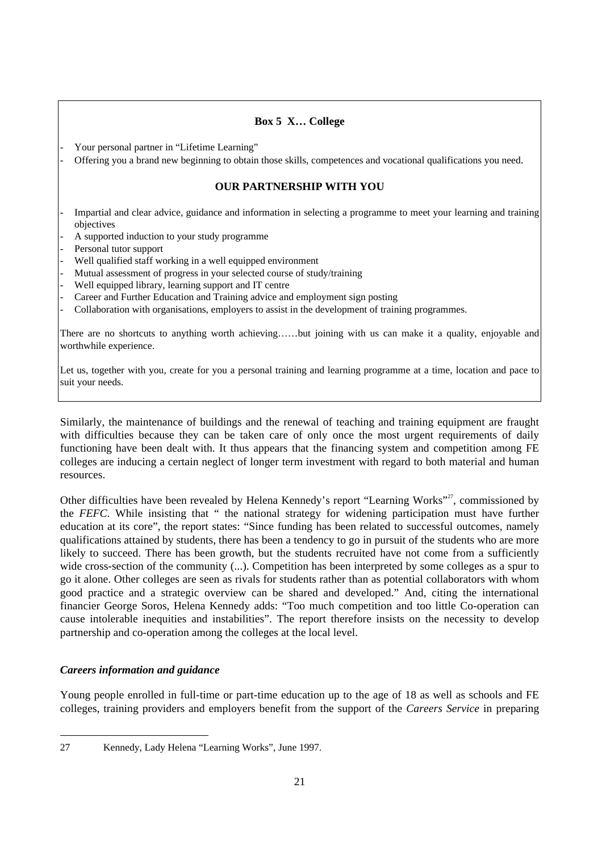## **Box 5 X… College**

- Your personal partner in "Lifetime Learning"
- Offering you a brand new beginning to obtain those skills, competences and vocational qualifications you need.

## **OUR PARTNERSHIP WITH YOU**

- Impartial and clear advice, guidance and information in selecting a programme to meet your learning and training objectives
- A supported induction to your study programme
- Personal tutor support
- Well qualified staff working in a well equipped environment
- Mutual assessment of progress in your selected course of study/training
- Well equipped library, learning support and IT centre
- Career and Further Education and Training advice and employment sign posting
- Collaboration with organisations, employers to assist in the development of training programmes.

There are no shortcuts to anything worth achieving……but joining with us can make it a quality, enjoyable and worthwhile experience.

Let us, together with you, create for you a personal training and learning programme at a time, location and pace to suit your needs.

Similarly, the maintenance of buildings and the renewal of teaching and training equipment are fraught with difficulties because they can be taken care of only once the most urgent requirements of daily functioning have been dealt with. It thus appears that the financing system and competition among FE colleges are inducing a certain neglect of longer term investment with regard to both material and human resources.

Other difficulties have been revealed by Helena Kennedy's report "Learning Works"<sup>27</sup>, commissioned by the *FEFC*. While insisting that " the national strategy for widening participation must have further education at its core", the report states: "Since funding has been related to successful outcomes, namely qualifications attained by students, there has been a tendency to go in pursuit of the students who are more likely to succeed. There has been growth, but the students recruited have not come from a sufficiently wide cross-section of the community (...). Competition has been interpreted by some colleges as a spur to go it alone. Other colleges are seen as rivals for students rather than as potential collaborators with whom good practice and a strategic overview can be shared and developed." And, citing the international financier George Soros, Helena Kennedy adds: "Too much competition and too little Co-operation can cause intolerable inequities and instabilities". The report therefore insists on the necessity to develop partnership and co-operation among the colleges at the local level.

## *Careers information and guidance*

Young people enrolled in full-time or part-time education up to the age of 18 as well as schools and FE colleges, training providers and employers benefit from the support of the *Careers Service* in preparing

<sup>27</sup> Kennedy, Lady Helena "Learning Works", June 1997.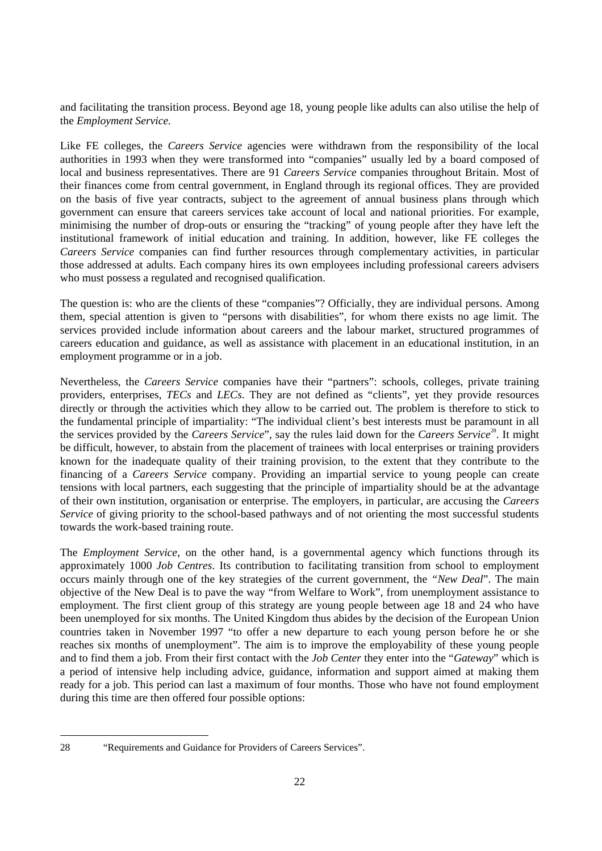and facilitating the transition process. Beyond age 18, young people like adults can also utilise the help of the *Employment Service.*

Like FE colleges, the *Careers Service* agencies were withdrawn from the responsibility of the local authorities in 1993 when they were transformed into "companies" usually led by a board composed of local and business representatives. There are 91 *Careers Service* companies throughout Britain. Most of their finances come from central government, in England through its regional offices. They are provided on the basis of five year contracts, subject to the agreement of annual business plans through which government can ensure that careers services take account of local and national priorities. For example, minimising the number of drop-outs or ensuring the "tracking" of young people after they have left the institutional framework of initial education and training. In addition, however, like FE colleges the *Careers Service* companies can find further resources through complementary activities, in particular those addressed at adults. Each company hires its own employees including professional careers advisers who must possess a regulated and recognised qualification.

The question is: who are the clients of these "companies"? Officially, they are individual persons. Among them, special attention is given to "persons with disabilities", for whom there exists no age limit. The services provided include information about careers and the labour market, structured programmes of careers education and guidance, as well as assistance with placement in an educational institution, in an employment programme or in a job.

Nevertheless, the *Careers Service* companies have their "partners": schools, colleges, private training providers, enterprises, *TECs* and *LECs*. They are not defined as "clients", yet they provide resources directly or through the activities which they allow to be carried out. The problem is therefore to stick to the fundamental principle of impartiality: "The individual client's best interests must be paramount in all the services provided by the *Careers Service*", say the rules laid down for the *Careers Service*<sup>28</sup>. It might be difficult, however, to abstain from the placement of trainees with local enterprises or training providers known for the inadequate quality of their training provision, to the extent that they contribute to the financing of a *Careers Service* company. Providing an impartial service to young people can create tensions with local partners, each suggesting that the principle of impartiality should be at the advantage of their own institution, organisation or enterprise. The employers, in particular, are accusing the *Careers Service* of giving priority to the school-based pathways and of not orienting the most successful students towards the work-based training route.

The *Employment Service*, on the other hand, is a governmental agency which functions through its approximately 1000 *Job Centres*. Its contribution to facilitating transition from school to employment occurs mainly through one of the key strategies of the current government, the *"New Deal*". The main objective of the New Deal is to pave the way "from Welfare to Work", from unemployment assistance to employment. The first client group of this strategy are young people between age 18 and 24 who have been unemployed for six months. The United Kingdom thus abides by the decision of the European Union countries taken in November 1997 "to offer a new departure to each young person before he or she reaches six months of unemployment". The aim is to improve the employability of these young people and to find them a job. From their first contact with the *Job Center* they enter into the "*Gateway*" which is a period of intensive help including advice, guidance, information and support aimed at making them ready for a job. This period can last a maximum of four months. Those who have not found employment during this time are then offered four possible options:

<sup>28 &</sup>quot;Requirements and Guidance for Providers of Careers Services".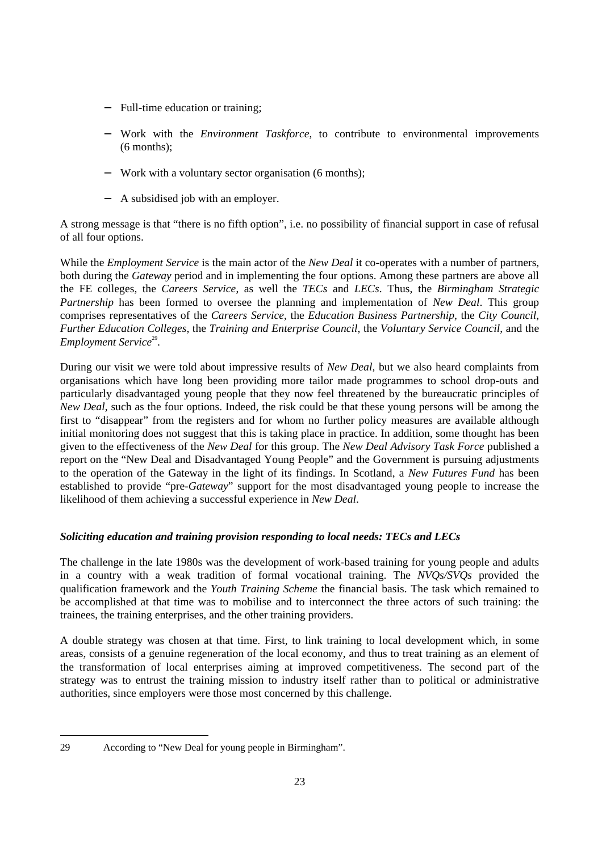- − Full-time education or training;
- − Work with the *Environment Taskforce*, to contribute to environmental improvements (6 months);
- − Work with a voluntary sector organisation (6 months);
- − A subsidised job with an employer.

A strong message is that "there is no fifth option", i.e. no possibility of financial support in case of refusal of all four options.

While the *Employment Service* is the main actor of the *New Deal* it co-operates with a number of partners, both during the *Gateway* period and in implementing the four options. Among these partners are above all the FE colleges, the *Careers Service*, as well the *TECs* and *LECs*. Thus, the *Birmingham Strategic Partnership* has been formed to oversee the planning and implementation of *New Deal*. This group comprises representatives of the *Careers Service*, the *Education Business Partnership*, the *City Council*, *Further Education Colleges*, the *Training and Enterprise Council*, the *Voluntary Service Council*, and the Employment Service<sup>29</sup>.

During our visit we were told about impressive results of *New Deal,* but we also heard complaints from organisations which have long been providing more tailor made programmes to school drop-outs and particularly disadvantaged young people that they now feel threatened by the bureaucratic principles of *New Deal*, such as the four options. Indeed, the risk could be that these young persons will be among the first to "disappear" from the registers and for whom no further policy measures are available although initial monitoring does not suggest that this is taking place in practice. In addition, some thought has been given to the effectiveness of the *New Deal* for this group. The *New Deal Advisory Task Force* published a report on the "New Deal and Disadvantaged Young People" and the Government is pursuing adjustments to the operation of the Gateway in the light of its findings. In Scotland, a *New Futures Fund* has been established to provide "pre-*Gateway*" support for the most disadvantaged young people to increase the likelihood of them achieving a successful experience in *New Deal*.

## *Soliciting education and training provision responding to local needs: TECs and LECs*

The challenge in the late 1980s was the development of work-based training for young people and adults in a country with a weak tradition of formal vocational training. The *NVQs/SVQs* provided the qualification framework and the *Youth Training Scheme* the financial basis. The task which remained to be accomplished at that time was to mobilise and to interconnect the three actors of such training: the trainees, the training enterprises, and the other training providers.

A double strategy was chosen at that time. First, to link training to local development which, in some areas, consists of a genuine regeneration of the local economy, and thus to treat training as an element of the transformation of local enterprises aiming at improved competitiveness. The second part of the strategy was to entrust the training mission to industry itself rather than to political or administrative authorities, since employers were those most concerned by this challenge.

<sup>29</sup> According to "New Deal for young people in Birmingham".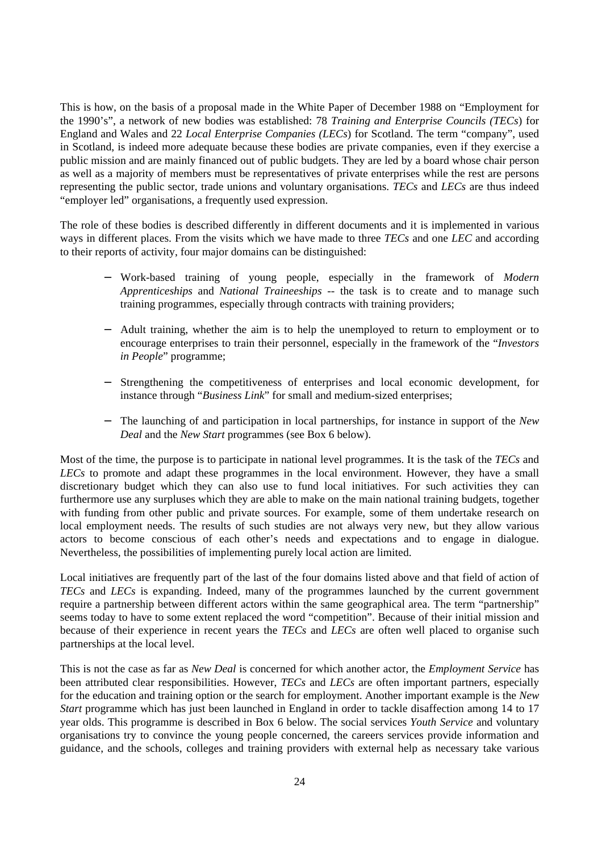This is how, on the basis of a proposal made in the White Paper of December 1988 on "Employment for the 1990's", a network of new bodies was established: 78 *Training and Enterprise Councils (TECs*) for England and Wales and 22 *Local Enterprise Companies (LECs*) for Scotland. The term "company", used in Scotland, is indeed more adequate because these bodies are private companies, even if they exercise a public mission and are mainly financed out of public budgets. They are led by a board whose chair person as well as a majority of members must be representatives of private enterprises while the rest are persons representing the public sector, trade unions and voluntary organisations. *TECs* and *LECs* are thus indeed "employer led" organisations, a frequently used expression.

The role of these bodies is described differently in different documents and it is implemented in various ways in different places. From the visits which we have made to three *TECs* and one *LEC* and according to their reports of activity, four major domains can be distinguished:

- − Work-based training of young people, especially in the framework of *Modern Apprenticeships* and *National Traineeships* -- the task is to create and to manage such training programmes, especially through contracts with training providers;
- − Adult training, whether the aim is to help the unemployed to return to employment or to encourage enterprises to train their personnel, especially in the framework of the "*Investors in People*" programme;
- − Strengthening the competitiveness of enterprises and local economic development, for instance through "*Business Link*" for small and medium-sized enterprises;
- − The launching of and participation in local partnerships, for instance in support of the *New Deal* and the *New Start* programmes (see Box 6 below).

Most of the time, the purpose is to participate in national level programmes. It is the task of the *TECs* and *LECs* to promote and adapt these programmes in the local environment. However, they have a small discretionary budget which they can also use to fund local initiatives. For such activities they can furthermore use any surpluses which they are able to make on the main national training budgets, together with funding from other public and private sources. For example, some of them undertake research on local employment needs. The results of such studies are not always very new, but they allow various actors to become conscious of each other's needs and expectations and to engage in dialogue. Nevertheless, the possibilities of implementing purely local action are limited.

Local initiatives are frequently part of the last of the four domains listed above and that field of action of *TECs* and *LECs* is expanding. Indeed, many of the programmes launched by the current government require a partnership between different actors within the same geographical area. The term "partnership" seems today to have to some extent replaced the word "competition". Because of their initial mission and because of their experience in recent years the *TECs* and *LECs* are often well placed to organise such partnerships at the local level.

This is not the case as far as *New Deal* is concerned for which another actor, the *Employment Service* has been attributed clear responsibilities. However, *TECs* and *LECs* are often important partners, especially for the education and training option or the search for employment. Another important example is the *New Start* programme which has just been launched in England in order to tackle disaffection among 14 to 17 year olds. This programme is described in Box 6 below. The social services *Youth Service* and voluntary organisations try to convince the young people concerned, the careers services provide information and guidance, and the schools, colleges and training providers with external help as necessary take various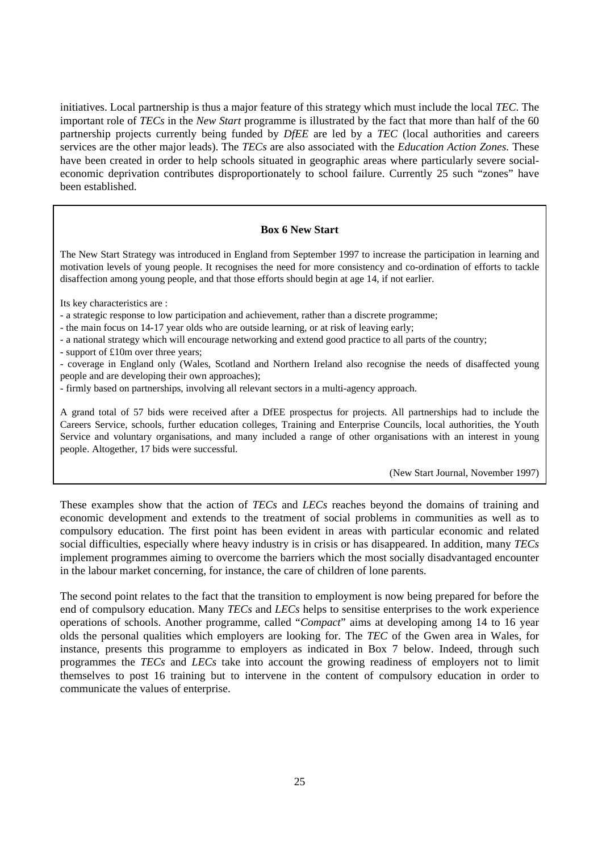initiatives. Local partnership is thus a major feature of this strategy which must include the local *TEC*. The important role of *TECs* in the *New Start* programme is illustrated by the fact that more than half of the 60 partnership projects currently being funded by *DfEE* are led by a *TEC* (local authorities and careers services are the other major leads). The *TECs* are also associated with the *Education Action Zones.* These have been created in order to help schools situated in geographic areas where particularly severe socialeconomic deprivation contributes disproportionately to school failure. Currently 25 such "zones" have been established.

#### **Box 6 New Start**

The New Start Strategy was introduced in England from September 1997 to increase the participation in learning and motivation levels of young people. It recognises the need for more consistency and co-ordination of efforts to tackle disaffection among young people, and that those efforts should begin at age 14, if not earlier.

Its key characteristics are :

- a strategic response to low participation and achievement, rather than a discrete programme;

- the main focus on 14-17 year olds who are outside learning, or at risk of leaving early;

- a national strategy which will encourage networking and extend good practice to all parts of the country;

- support of £10m over three years;

- coverage in England only (Wales, Scotland and Northern Ireland also recognise the needs of disaffected young people and are developing their own approaches);

- firmly based on partnerships, involving all relevant sectors in a multi-agency approach.

A grand total of 57 bids were received after a DfEE prospectus for projects. All partnerships had to include the Careers Service, schools, further education colleges, Training and Enterprise Councils, local authorities, the Youth Service and voluntary organisations, and many included a range of other organisations with an interest in young people. Altogether, 17 bids were successful.

(New Start Journal, November 1997)

These examples show that the action of *TECs* and *LECs* reaches beyond the domains of training and economic development and extends to the treatment of social problems in communities as well as to compulsory education. The first point has been evident in areas with particular economic and related social difficulties, especially where heavy industry is in crisis or has disappeared. In addition, many *TECs* implement programmes aiming to overcome the barriers which the most socially disadvantaged encounter in the labour market concerning, for instance, the care of children of lone parents.

The second point relates to the fact that the transition to employment is now being prepared for before the end of compulsory education. Many *TECs* and *LECs* helps to sensitise enterprises to the work experience operations of schools. Another programme, called "*Compact*" aims at developing among 14 to 16 year olds the personal qualities which employers are looking for. The *TEC* of the Gwen area in Wales, for instance, presents this programme to employers as indicated in Box 7 below. Indeed, through such programmes the *TECs* and *LECs* take into account the growing readiness of employers not to limit themselves to post 16 training but to intervene in the content of compulsory education in order to communicate the values of enterprise.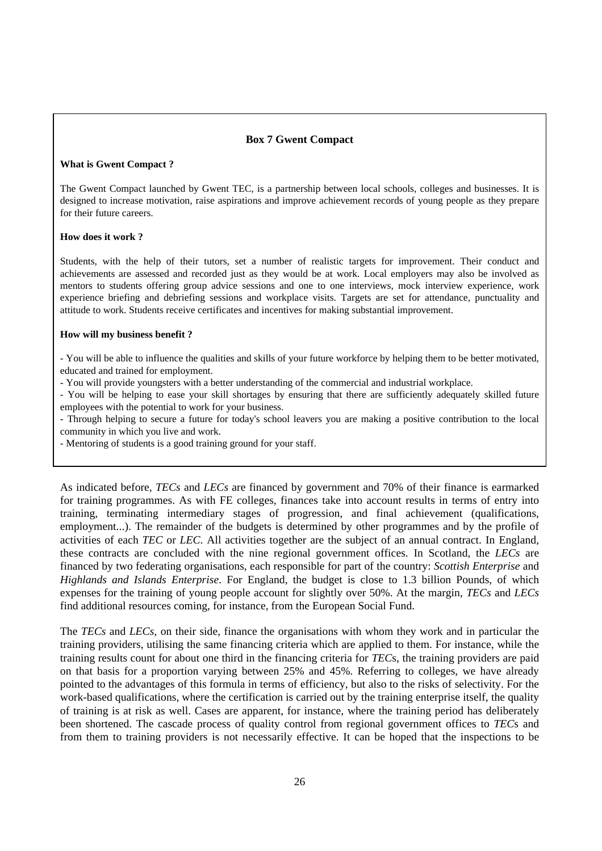## **Box 7 Gwent Compact**

#### **What is Gwent Compact ?**

The Gwent Compact launched by Gwent TEC, is a partnership between local schools, colleges and businesses. It is designed to increase motivation, raise aspirations and improve achievement records of young people as they prepare for their future careers.

#### **How does it work ?**

Students, with the help of their tutors, set a number of realistic targets for improvement. Their conduct and achievements are assessed and recorded just as they would be at work. Local employers may also be involved as mentors to students offering group advice sessions and one to one interviews, mock interview experience, work experience briefing and debriefing sessions and workplace visits. Targets are set for attendance, punctuality and attitude to work. Students receive certificates and incentives for making substantial improvement.

#### **How will my business benefit ?**

- You will be able to influence the qualities and skills of your future workforce by helping them to be better motivated, educated and trained for employment.

- You will provide youngsters with a better understanding of the commercial and industrial workplace.

- You will be helping to ease your skill shortages by ensuring that there are sufficiently adequately skilled future employees with the potential to work for your business.

- Through helping to secure a future for today's school leavers you are making a positive contribution to the local community in which you live and work.

- Mentoring of students is a good training ground for your staff.

As indicated before, *TECs* and *LECs* are financed by government and 70% of their finance is earmarked for training programmes. As with FE colleges, finances take into account results in terms of entry into training, terminating intermediary stages of progression, and final achievement (qualifications, employment...). The remainder of the budgets is determined by other programmes and by the profile of activities of each *TEC* or *LEC*. All activities together are the subject of an annual contract. In England, these contracts are concluded with the nine regional government offices. In Scotland, the *LECs* are financed by two federating organisations, each responsible for part of the country: *Scottish Enterprise* and *Highlands and Islands Enterprise*. For England, the budget is close to 1.3 billion Pounds, of which expenses for the training of young people account for slightly over 50%. At the margin, *TECs* and *LECs* find additional resources coming, for instance, from the European Social Fund.

The *TECs* and *LECs,* on their side, finance the organisations with whom they work and in particular the training providers, utilising the same financing criteria which are applied to them. For instance, while the training results count for about one third in the financing criteria for *TEC*s, the training providers are paid on that basis for a proportion varying between 25% and 45%. Referring to colleges, we have already pointed to the advantages of this formula in terms of efficiency, but also to the risks of selectivity. For the work-based qualifications, where the certification is carried out by the training enterprise itself, the quality of training is at risk as well. Cases are apparent, for instance, where the training period has deliberately been shortened. The cascade process of quality control from regional government offices to *TEC*s and from them to training providers is not necessarily effective. It can be hoped that the inspections to be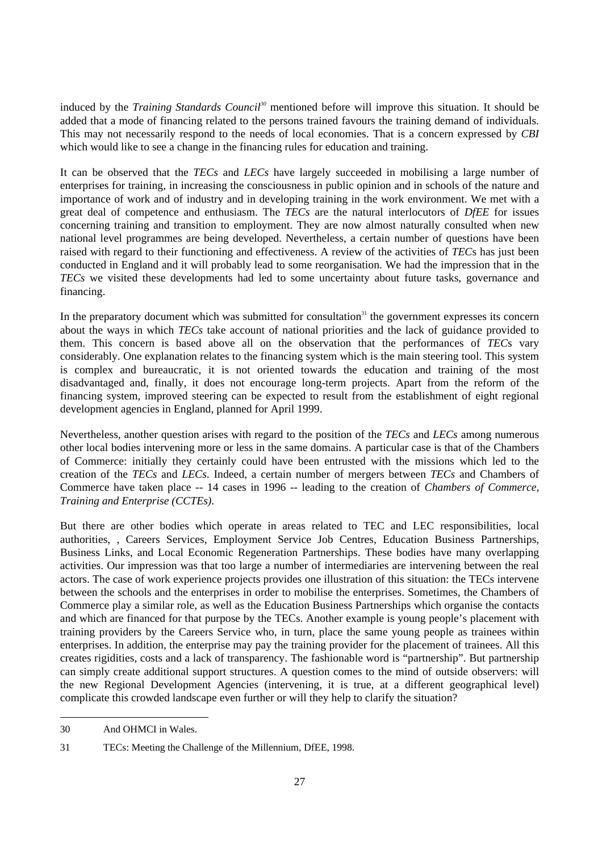induced by the *Training Standards Council<sup>30</sup>* mentioned before will improve this situation. It should be added that a mode of financing related to the persons trained favours the training demand of individuals. This may not necessarily respond to the needs of local economies. That is a concern expressed by *CBI* which would like to see a change in the financing rules for education and training.

It can be observed that the *TECs* and *LECs* have largely succeeded in mobilising a large number of enterprises for training, in increasing the consciousness in public opinion and in schools of the nature and importance of work and of industry and in developing training in the work environment. We met with a great deal of competence and enthusiasm. The *TECs* are the natural interlocutors of *DfEE* for issues concerning training and transition to employment. They are now almost naturally consulted when new national level programmes are being developed. Nevertheless, a certain number of questions have been raised with regard to their functioning and effectiveness. A review of the activities of *TEC*s has just been conducted in England and it will probably lead to some reorganisation. We had the impression that in the *TECs* we visited these developments had led to some uncertainty about future tasks, governance and financing.

In the preparatory document which was submitted for consultation<sup>31</sup> the government expresses its concern about the ways in which *TECs* take account of national priorities and the lack of guidance provided to them. This concern is based above all on the observation that the performances of *TEC*s vary considerably. One explanation relates to the financing system which is the main steering tool. This system is complex and bureaucratic, it is not oriented towards the education and training of the most disadvantaged and, finally, it does not encourage long-term projects. Apart from the reform of the financing system, improved steering can be expected to result from the establishment of eight regional development agencies in England, planned for April 1999.

Nevertheless, another question arises with regard to the position of the *TECs* and *LECs* among numerous other local bodies intervening more or less in the same domains. A particular case is that of the Chambers of Commerce: initially they certainly could have been entrusted with the missions which led to the creation of the *TECs* and *LECs*. Indeed, a certain number of mergers between *TECs* and Chambers of Commerce have taken place -- 14 cases in 1996 -- leading to the creation of *Chambers of Commerce, Training and Enterprise (CCTEs).*

But there are other bodies which operate in areas related to TEC and LEC responsibilities, local authorities, , Careers Services, Employment Service Job Centres, Education Business Partnerships, Business Links, and Local Economic Regeneration Partnerships. These bodies have many overlapping activities. Our impression was that too large a number of intermediaries are intervening between the real actors. The case of work experience projects provides one illustration of this situation: the TECs intervene between the schools and the enterprises in order to mobilise the enterprises. Sometimes, the Chambers of Commerce play a similar role, as well as the Education Business Partnerships which organise the contacts and which are financed for that purpose by the TECs. Another example is young people's placement with training providers by the Careers Service who, in turn, place the same young people as trainees within enterprises. In addition, the enterprise may pay the training provider for the placement of trainees. All this creates rigidities, costs and a lack of transparency. The fashionable word is "partnership". But partnership can simply create additional support structures. A question comes to the mind of outside observers: will the new Regional Development Agencies (intervening, it is true, at a different geographical level) complicate this crowded landscape even further or will they help to clarify the situation?

<sup>30</sup> And OHMCI in Wales.

<sup>31</sup> TECs: Meeting the Challenge of the Millennium, DfEE, 1998.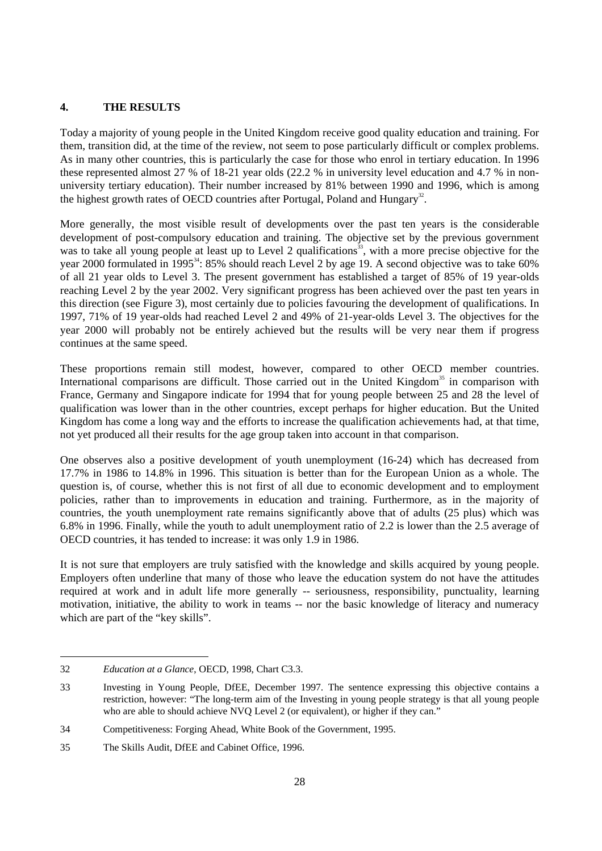## **4. THE RESULTS**

Today a majority of young people in the United Kingdom receive good quality education and training. For them, transition did, at the time of the review, not seem to pose particularly difficult or complex problems. As in many other countries, this is particularly the case for those who enrol in tertiary education. In 1996 these represented almost 27 % of 18-21 year olds (22.2 % in university level education and 4.7 % in nonuniversity tertiary education). Their number increased by 81% between 1990 and 1996, which is among the highest growth rates of OECD countries after Portugal, Poland and Hungary<sup>32</sup>.

More generally, the most visible result of developments over the past ten years is the considerable development of post-compulsory education and training. The objective set by the previous government was to take all young people at least up to Level 2 qualifications<sup>33</sup>, with a more precise objective for the year 2000 formulated in 1995<sup>34</sup>: 85% should reach Level 2 by age 19. A second objective was to take 60% of all 21 year olds to Level 3. The present government has established a target of 85% of 19 year-olds reaching Level 2 by the year 2002. Very significant progress has been achieved over the past ten years in this direction (see Figure 3), most certainly due to policies favouring the development of qualifications. In 1997, 71% of 19 year-olds had reached Level 2 and 49% of 21-year-olds Level 3. The objectives for the year 2000 will probably not be entirely achieved but the results will be very near them if progress continues at the same speed.

These proportions remain still modest, however, compared to other OECD member countries. International comparisons are difficult. Those carried out in the United Kingdom<sup>35</sup> in comparison with France, Germany and Singapore indicate for 1994 that for young people between 25 and 28 the level of qualification was lower than in the other countries, except perhaps for higher education. But the United Kingdom has come a long way and the efforts to increase the qualification achievements had, at that time, not yet produced all their results for the age group taken into account in that comparison.

One observes also a positive development of youth unemployment (16-24) which has decreased from 17.7% in 1986 to 14.8% in 1996. This situation is better than for the European Union as a whole. The question is, of course, whether this is not first of all due to economic development and to employment policies, rather than to improvements in education and training. Furthermore, as in the majority of countries, the youth unemployment rate remains significantly above that of adults (25 plus) which was 6.8% in 1996. Finally, while the youth to adult unemployment ratio of 2.2 is lower than the 2.5 average of OECD countries, it has tended to increase: it was only 1.9 in 1986.

It is not sure that employers are truly satisfied with the knowledge and skills acquired by young people. Employers often underline that many of those who leave the education system do not have the attitudes required at work and in adult life more generally -- seriousness, responsibility, punctuality, learning motivation, initiative, the ability to work in teams -- nor the basic knowledge of literacy and numeracy which are part of the "key skills".

<sup>32</sup> *Education at a Glance*, OECD, 1998, Chart C3.3.

<sup>33</sup> Investing in Young People, DfEE, December 1997. The sentence expressing this objective contains a restriction, however: "The long-term aim of the Investing in young people strategy is that all young people who are able to should achieve NVQ Level 2 (or equivalent), or higher if they can."

<sup>34</sup> Competitiveness: Forging Ahead, White Book of the Government, 1995.

<sup>35</sup> The Skills Audit, DfEE and Cabinet Office, 1996.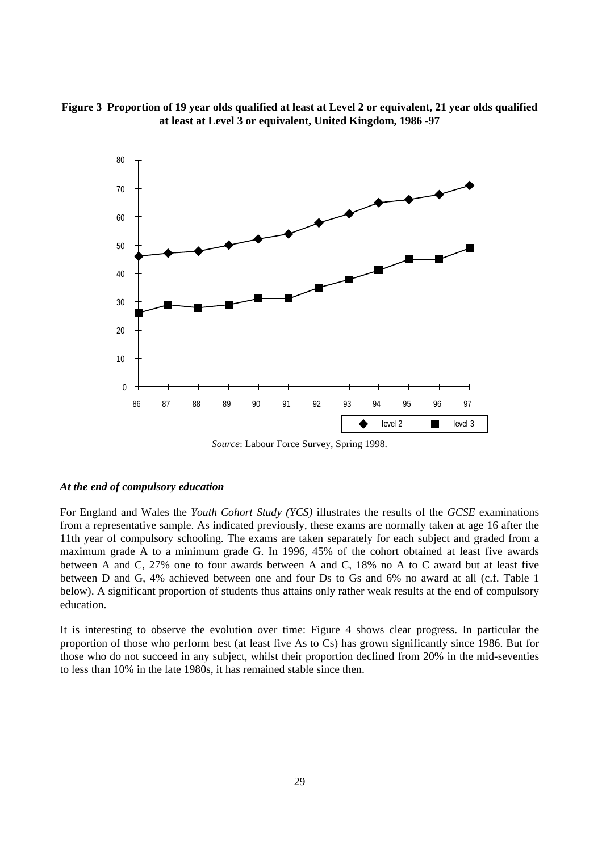**Figure 3 Proportion of 19 year olds qualified at least at Level 2 or equivalent, 21 year olds qualified at least at Level 3 or equivalent, United Kingdom, 1986 -97**



*Source*: Labour Force Survey, Spring 1998.

#### *At the end of compulsory education*

For England and Wales the *Youth Cohort Study (YCS)* illustrates the results of the *GCSE* examinations from a representative sample. As indicated previously, these exams are normally taken at age 16 after the 11th year of compulsory schooling. The exams are taken separately for each subject and graded from a maximum grade A to a minimum grade G. In 1996, 45% of the cohort obtained at least five awards between A and C, 27% one to four awards between A and C, 18% no A to C award but at least five between D and G, 4% achieved between one and four Ds to Gs and 6% no award at all (c.f. Table 1 below). A significant proportion of students thus attains only rather weak results at the end of compulsory education.

It is interesting to observe the evolution over time: Figure 4 shows clear progress. In particular the proportion of those who perform best (at least five As to Cs) has grown significantly since 1986. But for those who do not succeed in any subject, whilst their proportion declined from 20% in the mid-seventies to less than 10% in the late 1980s, it has remained stable since then.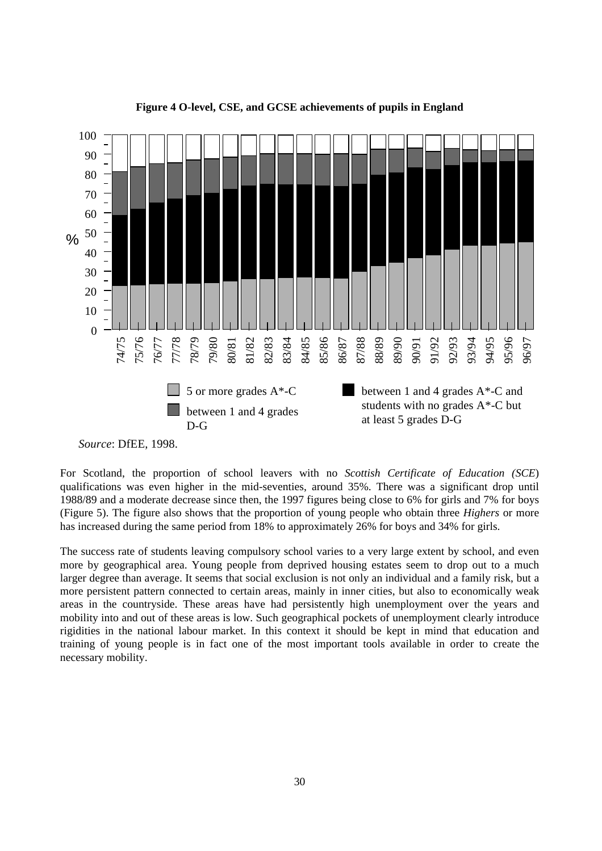

**Figure 4 O-level, CSE, and GCSE achievements of pupils in England**

For Scotland, the proportion of school leavers with no *Scottish Certificate of Education (SCE*) qualifications was even higher in the mid-seventies, around 35%. There was a significant drop until 1988/89 and a moderate decrease since then, the 1997 figures being close to 6% for girls and 7% for boys (Figure 5). The figure also shows that the proportion of young people who obtain three *Highers* or more has increased during the same period from 18% to approximately 26% for boys and 34% for girls.

The success rate of students leaving compulsory school varies to a very large extent by school, and even more by geographical area. Young people from deprived housing estates seem to drop out to a much larger degree than average. It seems that social exclusion is not only an individual and a family risk, but a more persistent pattern connected to certain areas, mainly in inner cities, but also to economically weak areas in the countryside. These areas have had persistently high unemployment over the years and mobility into and out of these areas is low. Such geographical pockets of unemployment clearly introduce rigidities in the national labour market. In this context it should be kept in mind that education and training of young people is in fact one of the most important tools available in order to create the necessary mobility.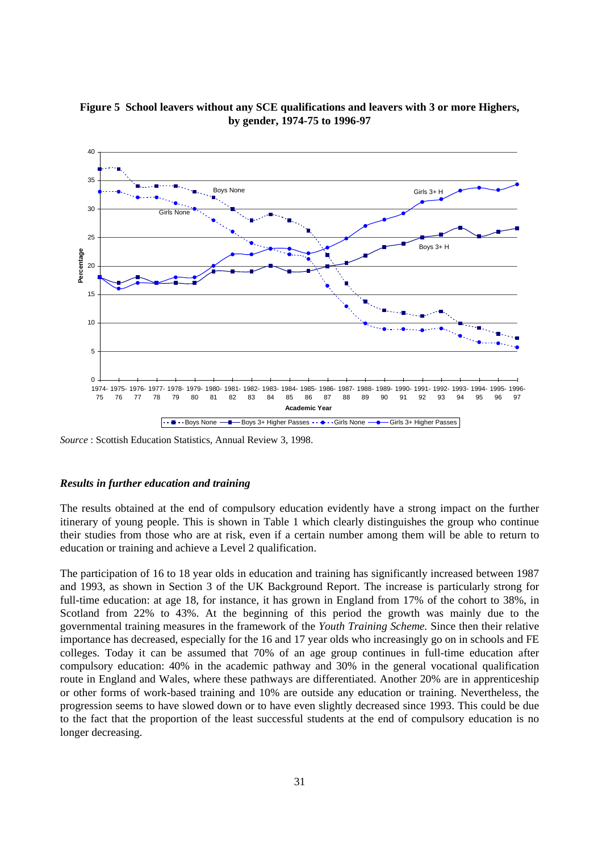

**Figure 5 School leavers without any SCE qualifications and leavers with 3 or more Highers, by gender, 1974-75 to 1996-97**

*Source* : Scottish Education Statistics, Annual Review 3, 1998.

#### *Results in further education and training*

The results obtained at the end of compulsory education evidently have a strong impact on the further itinerary of young people. This is shown in Table 1 which clearly distinguishes the group who continue their studies from those who are at risk, even if a certain number among them will be able to return to education or training and achieve a Level 2 qualification.

The participation of 16 to 18 year olds in education and training has significantly increased between 1987 and 1993, as shown in Section 3 of the UK Background Report. The increase is particularly strong for full-time education: at age 18, for instance, it has grown in England from 17% of the cohort to 38%, in Scotland from 22% to 43%. At the beginning of this period the growth was mainly due to the governmental training measures in the framework of the *Youth Training Scheme.* Since then their relative importance has decreased, especially for the 16 and 17 year olds who increasingly go on in schools and FE colleges. Today it can be assumed that 70% of an age group continues in full-time education after compulsory education: 40% in the academic pathway and 30% in the general vocational qualification route in England and Wales, where these pathways are differentiated. Another 20% are in apprenticeship or other forms of work-based training and 10% are outside any education or training. Nevertheless, the progression seems to have slowed down or to have even slightly decreased since 1993. This could be due to the fact that the proportion of the least successful students at the end of compulsory education is no longer decreasing.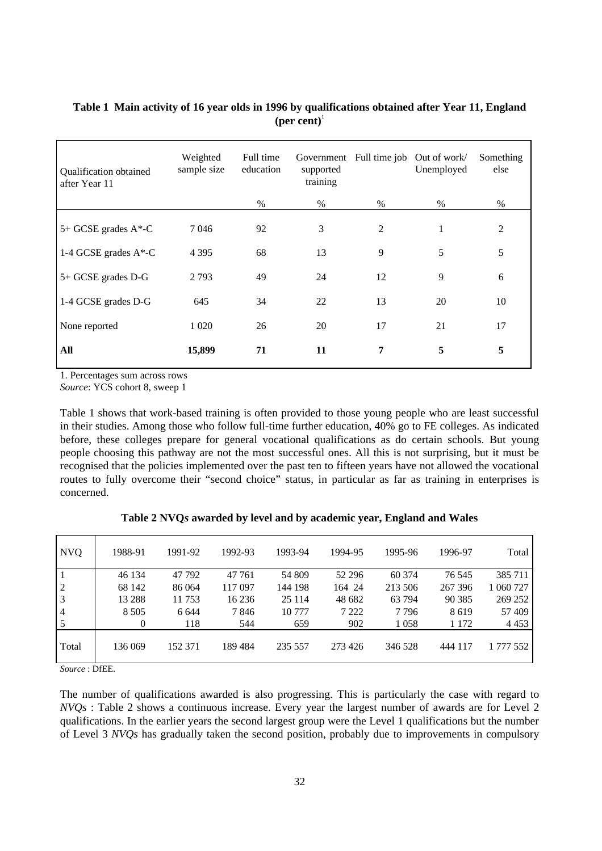| Qualification obtained<br>after Year 11 | Weighted<br>sample size | Full time<br>education | Government<br>supported<br>training | Full time job Out of work/ | Unemployed | Something<br>else |
|-----------------------------------------|-------------------------|------------------------|-------------------------------------|----------------------------|------------|-------------------|
|                                         |                         | $\%$                   | $\%$                                | $\%$                       | $\%$       | $\%$              |
| 5+ GCSE grades A*-C                     | 7046                    | 92                     | 3                                   | 2                          | 1          | 2                 |
| 1-4 GCSE grades A*-C                    | 4 3 9 5                 | 68                     | 13                                  | 9                          | 5          | 5                 |
| 5+ GCSE grades D-G                      | 2793                    | 49                     | 24                                  | 12                         | 9          | 6                 |
| 1-4 GCSE grades D-G                     | 645                     | 34                     | 22                                  | 13                         | 20         | 10                |
| None reported                           | 1 0 20                  | 26                     | 20                                  | 17                         | 21         | 17                |
| All                                     | 15,899                  | 71                     | 11                                  | 7                          | 5          | 5                 |

## **Table 1 Main activity of 16 year olds in 1996 by qualifications obtained after Year 11, England**  $(**per cent**)<sup>1</sup>$

1. Percentages sum across rows

*Source*: YCS cohort 8, sweep 1

Table 1 shows that work-based training is often provided to those young people who are least successful in their studies. Among those who follow full-time further education, 40% go to FE colleges. As indicated before, these colleges prepare for general vocational qualifications as do certain schools. But young people choosing this pathway are not the most successful ones. All this is not surprising, but it must be recognised that the policies implemented over the past ten to fifteen years have not allowed the vocational routes to fully overcome their "second choice" status, in particular as far as training in enterprises is concerned.

|  |  |  | Table 2 NVQs awarded by level and by academic year, England and Wales |  |  |
|--|--|--|-----------------------------------------------------------------------|--|--|
|--|--|--|-----------------------------------------------------------------------|--|--|

| <b>NVQ</b>     | 1988-91  | 1991-92 | 1992-93 | 1993-94 | 1994-95 | 1995-96 | 1996-97 | Total     |
|----------------|----------|---------|---------|---------|---------|---------|---------|-----------|
| 1              | 46 134   | 47 792  | 47 761  | 54 809  | 52 296  | 60 374  | 76 545  | 385 711   |
| $\overline{2}$ | 68 142   | 86 064  | 117 097 | 144 198 | 164 24  | 213 506 | 267 396 | 1 060 727 |
| $\mathfrak{Z}$ | 13 288   | 11 753  | 16 23 6 | 25 114  | 48 682  | 63 794  | 90 3 85 | 269 252   |
| $\overline{4}$ | 8 5 0 5  | 6 6 4 4 | 7846    | 10 777  | 7 2 2 2 | 7796    | 8619    | 57 409    |
| 5              | $\theta$ | 118     | 544     | 659     | 902     | 1058    | 1 1 7 2 | 4 4 5 3   |
| Total          | 136 069  | 152 371 | 189 484 | 235 557 | 273 426 | 346 528 | 444 117 | 1 777 552 |

*Source* : DfEE.

The number of qualifications awarded is also progressing. This is particularly the case with regard to *NVQs* : Table 2 shows a continuous increase. Every year the largest number of awards are for Level 2 qualifications. In the earlier years the second largest group were the Level 1 qualifications but the number of Level 3 *NVQs* has gradually taken the second position, probably due to improvements in compulsory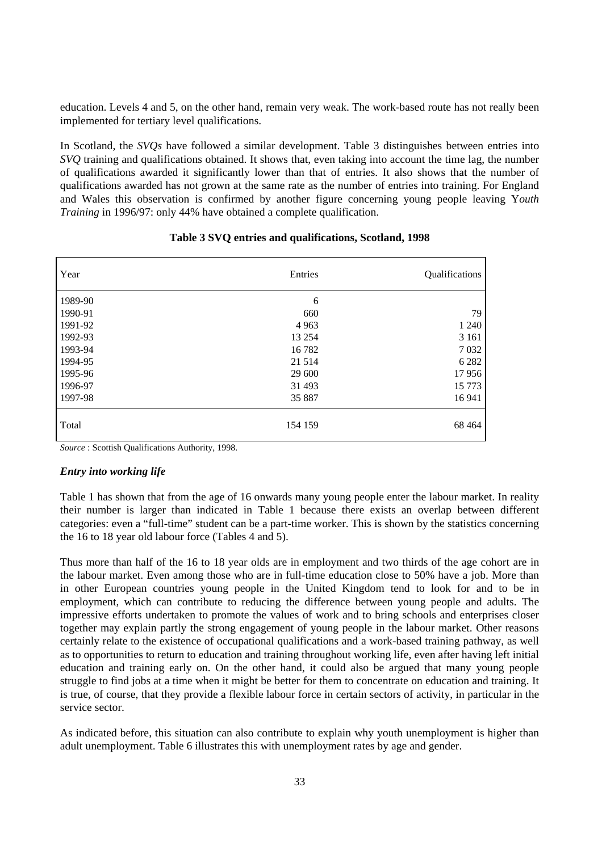education. Levels 4 and 5, on the other hand, remain very weak. The work-based route has not really been implemented for tertiary level qualifications.

In Scotland, the *SVQs* have followed a similar development. Table 3 distinguishes between entries into *SVQ* training and qualifications obtained. It shows that, even taking into account the time lag, the number of qualifications awarded it significantly lower than that of entries. It also shows that the number of qualifications awarded has not grown at the same rate as the number of entries into training. For England and Wales this observation is confirmed by another figure concerning young people leaving Y*outh Training* in 1996/97: only 44% have obtained a complete qualification.

| Year    | Entries | Qualifications |
|---------|---------|----------------|
| 1989-90 | 6       |                |
| 1990-91 | 660     | 79             |
| 1991-92 | 4 9 6 3 | 1 2 4 0        |
| 1992-93 | 13 254  | 3 1 6 1        |
| 1993-94 | 16 782  | 7032           |
| 1994-95 | 21 5 14 | 6 2 8 2        |
| 1995-96 | 29 600  | 17956          |
| 1996-97 | 31 493  | 15 7 7 3       |
| 1997-98 | 35 887  | 16 941         |
| Total   | 154 159 | 68 4 64        |

## **Table 3 SVQ entries and qualifications, Scotland, 1998**

*Source* : Scottish Qualifications Authority, 1998.

#### *Entry into working life*

Table 1 has shown that from the age of 16 onwards many young people enter the labour market. In reality their number is larger than indicated in Table 1 because there exists an overlap between different categories: even a "full-time" student can be a part-time worker. This is shown by the statistics concerning the 16 to 18 year old labour force (Tables 4 and 5).

Thus more than half of the 16 to 18 year olds are in employment and two thirds of the age cohort are in the labour market. Even among those who are in full-time education close to 50% have a job. More than in other European countries young people in the United Kingdom tend to look for and to be in employment, which can contribute to reducing the difference between young people and adults. The impressive efforts undertaken to promote the values of work and to bring schools and enterprises closer together may explain partly the strong engagement of young people in the labour market. Other reasons certainly relate to the existence of occupational qualifications and a work-based training pathway, as well as to opportunities to return to education and training throughout working life, even after having left initial education and training early on. On the other hand, it could also be argued that many young people struggle to find jobs at a time when it might be better for them to concentrate on education and training. It is true, of course, that they provide a flexible labour force in certain sectors of activity, in particular in the service sector.

As indicated before, this situation can also contribute to explain why youth unemployment is higher than adult unemployment. Table 6 illustrates this with unemployment rates by age and gender.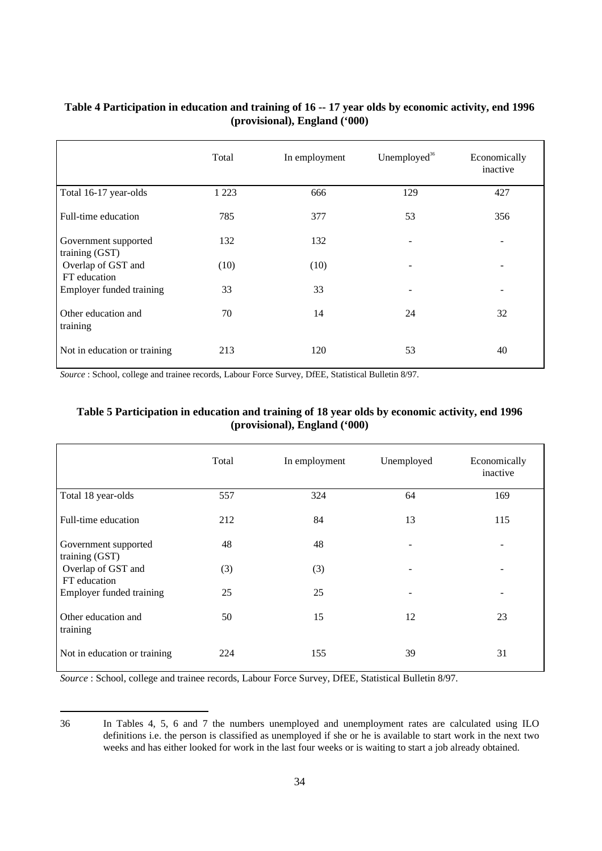## **Table 4 Participation in education and training of 16 -- 17 year olds by economic activity, end 1996 (provisional), England ('000)**

|                                        | Total   | In employment | Unemployed <sup>36</sup> | Economically<br>inactive |
|----------------------------------------|---------|---------------|--------------------------|--------------------------|
| Total 16-17 year-olds                  | 1 2 2 3 | 666           | 129                      | 427                      |
| Full-time education                    | 785     | 377           | 53                       | 356                      |
| Government supported<br>training (GST) | 132     | 132           |                          |                          |
| Overlap of GST and<br>FT education     | (10)    | (10)          |                          |                          |
| Employer funded training               | 33      | 33            |                          |                          |
| Other education and<br>training        | 70      | 14            | 24                       | 32                       |
| Not in education or training           | 213     | 120           | 53                       | 40                       |

*Source* : School, college and trainee records, Labour Force Survey, DfEE, Statistical Bulletin 8/97.

| Table 5 Participation in education and training of 18 year olds by economic activity, end 1996 |
|------------------------------------------------------------------------------------------------|
| (provisional), England ('000)                                                                  |

|                                        | Total | In employment | Unemployed | Economically<br>inactive |
|----------------------------------------|-------|---------------|------------|--------------------------|
| Total 18 year-olds                     | 557   | 324           | 64         | 169                      |
| Full-time education                    | 212   | 84            | 13         | 115                      |
| Government supported<br>training (GST) | 48    | 48            | -          | $\overline{\phantom{a}}$ |
| Overlap of GST and<br>FT education     | (3)   | (3)           |            | $\qquad \qquad -$        |
| <b>Employer funded training</b>        | 25    | 25            | ۰          |                          |
| Other education and<br>training        | 50    | 15            | 12         | 23                       |
| Not in education or training           | 224   | 155           | 39         | 31                       |

*Source* : School, college and trainee records, Labour Force Survey, DfEE, Statistical Bulletin 8/97.

<sup>36</sup> In Tables 4, 5, 6 and 7 the numbers unemployed and unemployment rates are calculated using ILO definitions i.e. the person is classified as unemployed if she or he is available to start work in the next two weeks and has either looked for work in the last four weeks or is waiting to start a job already obtained.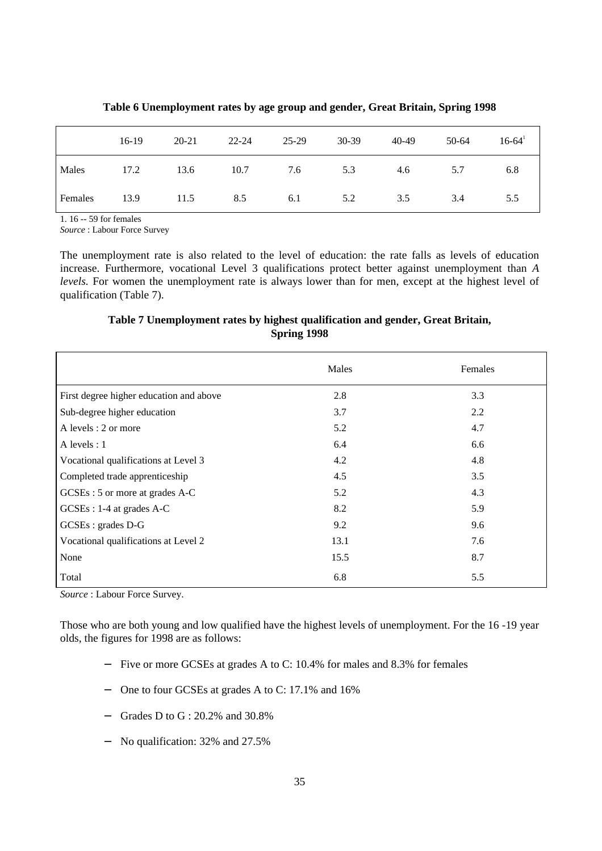|                | $16-19$ | 20-21 | $22 - 24$ | 25-29 | $30-39$ | 40-49 | $50-64$ | $16-64$ |
|----------------|---------|-------|-----------|-------|---------|-------|---------|---------|
| Males          | 17.2    | 13.6  | 10.7      | 7.6   | 5.3     | 4.6   | 5.7     | 6.8     |
| <b>Females</b> | 13.9    | 11.5  | 8.5       | 6.1   | 5.2     | 3.5   | 3.4     | 5.5     |

**Table 6 Unemployment rates by age group and gender, Great Britain, Spring 1998**

1. 16 -- 59 for females

*Source* : Labour Force Survey

The unemployment rate is also related to the level of education: the rate falls as levels of education increase. Furthermore, vocational Level 3 qualifications protect better against unemployment than *A levels.* For women the unemployment rate is always lower than for men, except at the highest level of qualification (Table 7).

## **Table 7 Unemployment rates by highest qualification and gender, Great Britain, Spring 1998**

|                                         | Males | Females |
|-----------------------------------------|-------|---------|
| First degree higher education and above | 2.8   | 3.3     |
| Sub-degree higher education             | 3.7   | 2.2     |
| A levels : 2 or more                    | 5.2   | 4.7     |
| A levels : $1$                          | 6.4   | 6.6     |
| Vocational qualifications at Level 3    | 4.2   | 4.8     |
| Completed trade apprenticeship          | 4.5   | 3.5     |
| GCSEs: 5 or more at grades A-C          | 5.2   | 4.3     |
| GCSEs : 1-4 at grades A-C               | 8.2   | 5.9     |
| GCSEs : grades D-G                      | 9.2   | 9.6     |
| Vocational qualifications at Level 2    | 13.1  | 7.6     |
| None                                    | 15.5  | 8.7     |
| Total                                   | 6.8   | 5.5     |

*Source* : Labour Force Survey.

Those who are both young and low qualified have the highest levels of unemployment. For the 16 -19 year olds, the figures for 1998 are as follows:

- − Five or more GCSEs at grades A to C: 10.4% for males and 8.3% for females
- − One to four GCSEs at grades A to C: 17.1% and 16%
- − Grades D to G : 20.2% and 30.8%
- − No qualification: 32% and 27.5%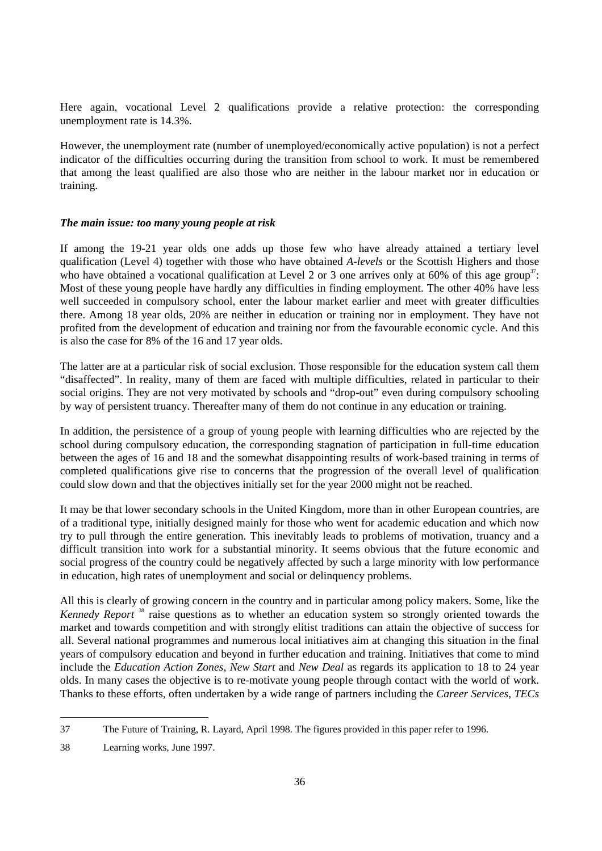Here again, vocational Level 2 qualifications provide a relative protection: the corresponding unemployment rate is 14.3%.

However, the unemployment rate (number of unemployed/economically active population) is not a perfect indicator of the difficulties occurring during the transition from school to work. It must be remembered that among the least qualified are also those who are neither in the labour market nor in education or training.

## *The main issue: too many young people at risk*

If among the 19-21 year olds one adds up those few who have already attained a tertiary level qualification (Level 4) together with those who have obtained *A-levels* or the Scottish Highers and those who have obtained a vocational qualification at Level 2 or 3 one arrives only at 60% of this age group<sup>37</sup>: Most of these young people have hardly any difficulties in finding employment. The other 40% have less well succeeded in compulsory school, enter the labour market earlier and meet with greater difficulties there. Among 18 year olds, 20% are neither in education or training nor in employment. They have not profited from the development of education and training nor from the favourable economic cycle. And this is also the case for 8% of the 16 and 17 year olds.

The latter are at a particular risk of social exclusion. Those responsible for the education system call them "disaffected". In reality, many of them are faced with multiple difficulties, related in particular to their social origins. They are not very motivated by schools and "drop-out" even during compulsory schooling by way of persistent truancy. Thereafter many of them do not continue in any education or training.

In addition, the persistence of a group of young people with learning difficulties who are rejected by the school during compulsory education, the corresponding stagnation of participation in full-time education between the ages of 16 and 18 and the somewhat disappointing results of work-based training in terms of completed qualifications give rise to concerns that the progression of the overall level of qualification could slow down and that the objectives initially set for the year 2000 might not be reached.

It may be that lower secondary schools in the United Kingdom, more than in other European countries, are of a traditional type, initially designed mainly for those who went for academic education and which now try to pull through the entire generation. This inevitably leads to problems of motivation, truancy and a difficult transition into work for a substantial minority. It seems obvious that the future economic and social progress of the country could be negatively affected by such a large minority with low performance in education, high rates of unemployment and social or delinquency problems.

All this is clearly of growing concern in the country and in particular among policy makers. Some, like the *Kennedy Report*<sup>38</sup> raise questions as to whether an education system so strongly oriented towards the market and towards competition and with strongly elitist traditions can attain the objective of success for all. Several national programmes and numerous local initiatives aim at changing this situation in the final years of compulsory education and beyond in further education and training. Initiatives that come to mind include the *Education Action Zones, New Start* and *New Deal* as regards its application to 18 to 24 year olds. In many cases the objective is to re-motivate young people through contact with the world of work. Thanks to these efforts, often undertaken by a wide range of partners including the *Career Services*, *TECs*

<sup>37</sup> The Future of Training, R. Layard, April 1998. The figures provided in this paper refer to 1996.

<sup>38</sup> Learning works, June 1997.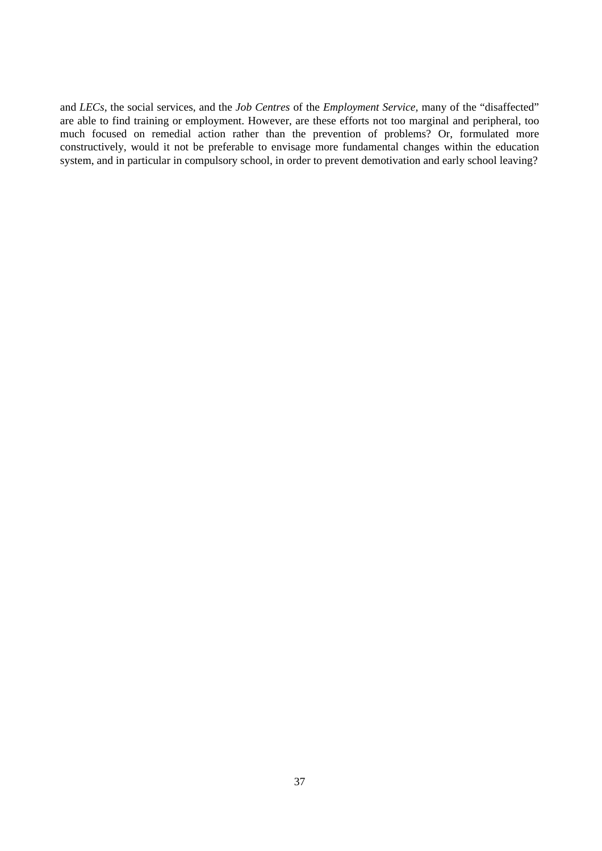and *LECs*, the social services, and the *Job Centres* of the *Employment Service,* many of the "disaffected" are able to find training or employment. However, are these efforts not too marginal and peripheral, too much focused on remedial action rather than the prevention of problems? Or, formulated more constructively, would it not be preferable to envisage more fundamental changes within the education system, and in particular in compulsory school, in order to prevent demotivation and early school leaving?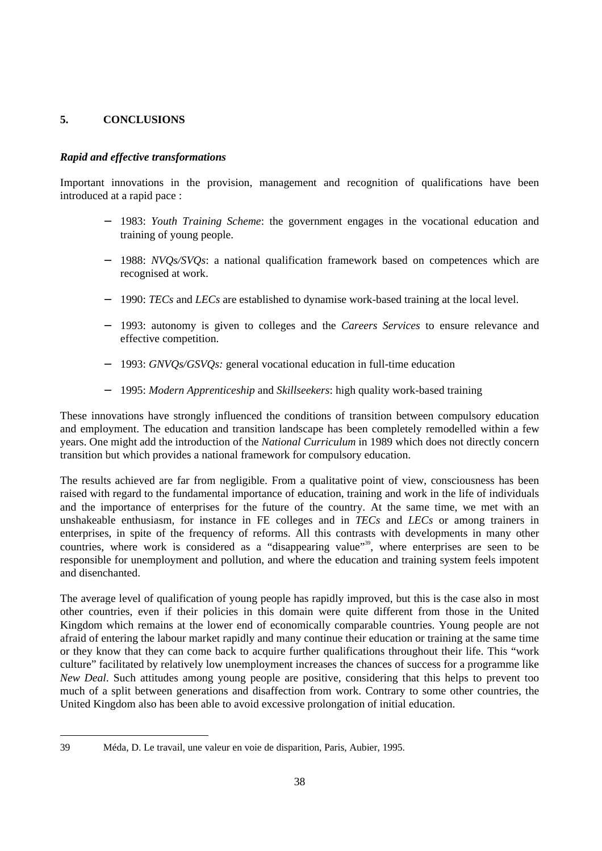## **5. CONCLUSIONS**

## *Rapid and effective transformations*

Important innovations in the provision, management and recognition of qualifications have been introduced at a rapid pace :

- − 1983: *Youth Training Scheme*: the government engages in the vocational education and training of young people.
- − 1988: *NVQs/SVQs*: a national qualification framework based on competences which are recognised at work.
- − 1990: *TECs* and *LECs* are established to dynamise work-based training at the local level.
- − 1993: autonomy is given to colleges and the *Careers Services* to ensure relevance and effective competition.
- − 1993: *GNVQs/GSVQs:* general vocational education in full-time education
- − 1995: *Modern Apprenticeship* and *Skillseekers*: high quality work-based training

These innovations have strongly influenced the conditions of transition between compulsory education and employment. The education and transition landscape has been completely remodelled within a few years. One might add the introduction of the *National Curriculum* in 1989 which does not directly concern transition but which provides a national framework for compulsory education.

The results achieved are far from negligible. From a qualitative point of view, consciousness has been raised with regard to the fundamental importance of education, training and work in the life of individuals and the importance of enterprises for the future of the country. At the same time, we met with an unshakeable enthusiasm, for instance in FE colleges and in *TECs* and *LECs* or among trainers in enterprises, in spite of the frequency of reforms. All this contrasts with developments in many other countries, where work is considered as a "disappearing value"<sup>39</sup>, where enterprises are seen to be responsible for unemployment and pollution, and where the education and training system feels impotent and disenchanted.

The average level of qualification of young people has rapidly improved, but this is the case also in most other countries, even if their policies in this domain were quite different from those in the United Kingdom which remains at the lower end of economically comparable countries. Young people are not afraid of entering the labour market rapidly and many continue their education or training at the same time or they know that they can come back to acquire further qualifications throughout their life. This "work culture" facilitated by relatively low unemployment increases the chances of success for a programme like *New Deal*. Such attitudes among young people are positive, considering that this helps to prevent too much of a split between generations and disaffection from work. Contrary to some other countries, the United Kingdom also has been able to avoid excessive prolongation of initial education.

<sup>39</sup> Méda, D. Le travail, une valeur en voie de disparition, Paris, Aubier, 1995.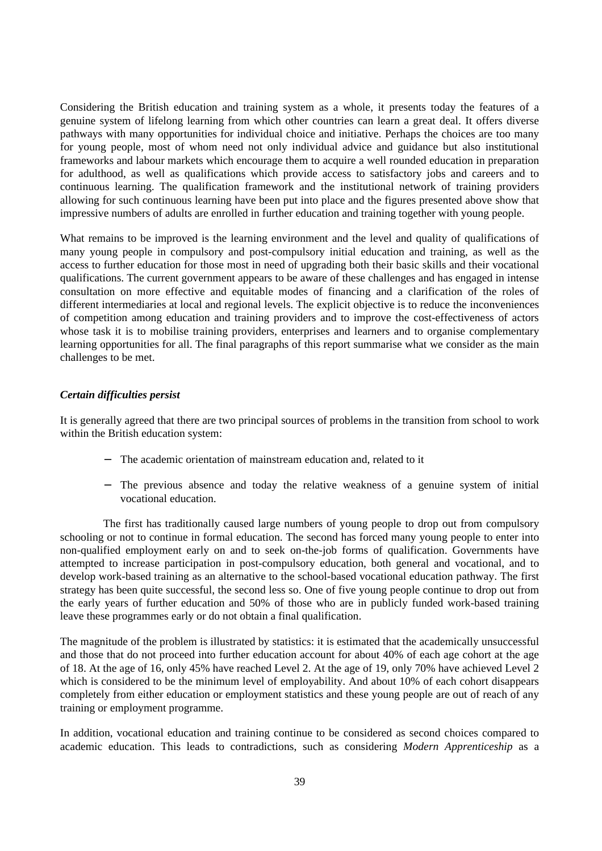Considering the British education and training system as a whole, it presents today the features of a genuine system of lifelong learning from which other countries can learn a great deal. It offers diverse pathways with many opportunities for individual choice and initiative. Perhaps the choices are too many for young people, most of whom need not only individual advice and guidance but also institutional frameworks and labour markets which encourage them to acquire a well rounded education in preparation for adulthood, as well as qualifications which provide access to satisfactory jobs and careers and to continuous learning. The qualification framework and the institutional network of training providers allowing for such continuous learning have been put into place and the figures presented above show that impressive numbers of adults are enrolled in further education and training together with young people.

What remains to be improved is the learning environment and the level and quality of qualifications of many young people in compulsory and post-compulsory initial education and training, as well as the access to further education for those most in need of upgrading both their basic skills and their vocational qualifications. The current government appears to be aware of these challenges and has engaged in intense consultation on more effective and equitable modes of financing and a clarification of the roles of different intermediaries at local and regional levels. The explicit objective is to reduce the inconveniences of competition among education and training providers and to improve the cost-effectiveness of actors whose task it is to mobilise training providers, enterprises and learners and to organise complementary learning opportunities for all. The final paragraphs of this report summarise what we consider as the main challenges to be met.

#### *Certain difficulties persist*

It is generally agreed that there are two principal sources of problems in the transition from school to work within the British education system:

- The academic orientation of mainstream education and, related to it
- − The previous absence and today the relative weakness of a genuine system of initial vocational education.

The first has traditionally caused large numbers of young people to drop out from compulsory schooling or not to continue in formal education. The second has forced many young people to enter into non-qualified employment early on and to seek on-the-job forms of qualification. Governments have attempted to increase participation in post-compulsory education, both general and vocational, and to develop work-based training as an alternative to the school-based vocational education pathway. The first strategy has been quite successful, the second less so. One of five young people continue to drop out from the early years of further education and 50% of those who are in publicly funded work-based training leave these programmes early or do not obtain a final qualification.

The magnitude of the problem is illustrated by statistics: it is estimated that the academically unsuccessful and those that do not proceed into further education account for about 40% of each age cohort at the age of 18. At the age of 16, only 45% have reached Level 2. At the age of 19, only 70% have achieved Level 2 which is considered to be the minimum level of employability. And about 10% of each cohort disappears completely from either education or employment statistics and these young people are out of reach of any training or employment programme.

In addition, vocational education and training continue to be considered as second choices compared to academic education. This leads to contradictions, such as considering *Modern Apprenticeship* as a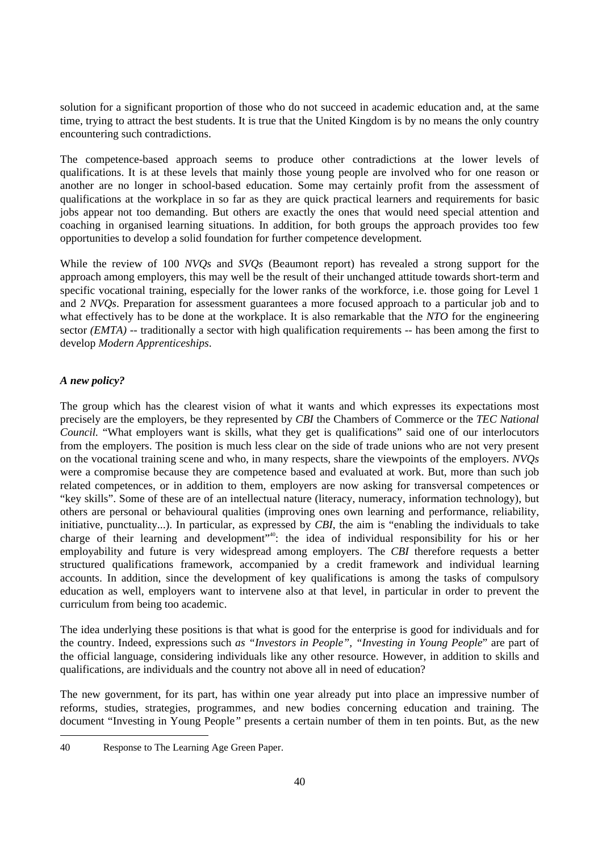solution for a significant proportion of those who do not succeed in academic education and, at the same time, trying to attract the best students. It is true that the United Kingdom is by no means the only country encountering such contradictions.

The competence-based approach seems to produce other contradictions at the lower levels of qualifications. It is at these levels that mainly those young people are involved who for one reason or another are no longer in school-based education. Some may certainly profit from the assessment of qualifications at the workplace in so far as they are quick practical learners and requirements for basic jobs appear not too demanding. But others are exactly the ones that would need special attention and coaching in organised learning situations. In addition, for both groups the approach provides too few opportunities to develop a solid foundation for further competence development*.*

While the review of 100 *NVQs* and *SVQs* (Beaumont report) has revealed a strong support for the approach among employers, this may well be the result of their unchanged attitude towards short-term and specific vocational training, especially for the lower ranks of the workforce, i.e. those going for Level 1 and 2 *NVQs*. Preparation for assessment guarantees a more focused approach to a particular job and to what effectively has to be done at the workplace. It is also remarkable that the *NTO* for the engineering sector *(EMTA)* -- traditionally a sector with high qualification requirements -- has been among the first to develop *Modern Apprenticeships*.

## *A new policy?*

The group which has the clearest vision of what it wants and which expresses its expectations most precisely are the employers, be they represented by *CBI* the Chambers of Commerce or the *TEC National Council.* "What employers want is skills, what they get is qualifications" said one of our interlocutors from the employers. The position is much less clear on the side of trade unions who are not very present on the vocational training scene and who, in many respects, share the viewpoints of the employers. *NVQs* were a compromise because they are competence based and evaluated at work. But, more than such job related competences, or in addition to them, employers are now asking for transversal competences or "key skills". Some of these are of an intellectual nature (literacy, numeracy, information technology), but others are personal or behavioural qualities (improving ones own learning and performance, reliability, initiative, punctuality...). In particular, as expressed by *CBI*, the aim is "enabling the individuals to take charge of their learning and development"<sup>40</sup>: the idea of individual responsibility for his or her employability and future is very widespread among employers. The *CBI* therefore requests a better structured qualifications framework*,* accompanied by a credit framework and individual learning accounts. In addition, since the development of key qualifications is among the tasks of compulsory education as well, employers want to intervene also at that level, in particular in order to prevent the curriculum from being too academic.

The idea underlying these positions is that what is good for the enterprise is good for individuals and for the country. Indeed, expressions such *as "Investors in People", "Investing in Young People*" are part of the official language, considering individuals like any other resource. However, in addition to skills and qualifications, are individuals and the country not above all in need of education?

The new government, for its part, has within one year already put into place an impressive number of reforms, studies, strategies, programmes, and new bodies concerning education and training. The document "Investing in Young People*"* presents a certain number of them in ten points. But, as the new

<sup>40</sup> Response to The Learning Age Green Paper.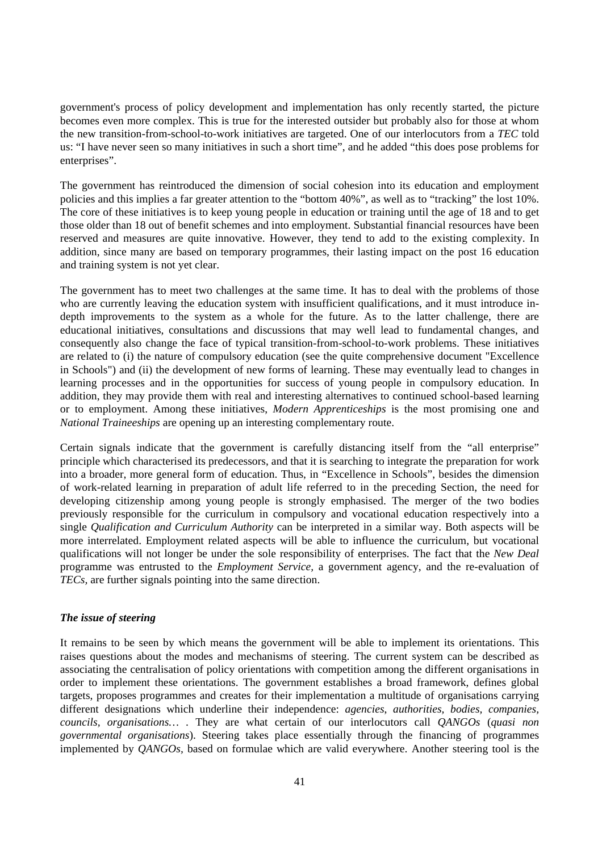government's process of policy development and implementation has only recently started, the picture becomes even more complex. This is true for the interested outsider but probably also for those at whom the new transition-from-school-to-work initiatives are targeted. One of our interlocutors from a *TEC* told us: "I have never seen so many initiatives in such a short time", and he added "this does pose problems for enterprises".

The government has reintroduced the dimension of social cohesion into its education and employment policies and this implies a far greater attention to the "bottom 40%", as well as to "tracking" the lost 10%. The core of these initiatives is to keep young people in education or training until the age of 18 and to get those older than 18 out of benefit schemes and into employment. Substantial financial resources have been reserved and measures are quite innovative. However, they tend to add to the existing complexity. In addition, since many are based on temporary programmes, their lasting impact on the post 16 education and training system is not yet clear.

The government has to meet two challenges at the same time. It has to deal with the problems of those who are currently leaving the education system with insufficient qualifications, and it must introduce indepth improvements to the system as a whole for the future. As to the latter challenge, there are educational initiatives, consultations and discussions that may well lead to fundamental changes, and consequently also change the face of typical transition-from-school-to-work problems. These initiatives are related to (i) the nature of compulsory education (see the quite comprehensive document "Excellence in Schools") and (ii) the development of new forms of learning. These may eventually lead to changes in learning processes and in the opportunities for success of young people in compulsory education. In addition, they may provide them with real and interesting alternatives to continued school-based learning or to employment. Among these initiatives, *Modern Apprenticeships* is the most promising one and *National Traineeships* are opening up an interesting complementary route.

Certain signals indicate that the government is carefully distancing itself from the "all enterprise" principle which characterised its predecessors, and that it is searching to integrate the preparation for work into a broader, more general form of education. Thus, in "Excellence in Schools", besides the dimension of work-related learning in preparation of adult life referred to in the preceding Section, the need for developing citizenship among young people is strongly emphasised. The merger of the two bodies previously responsible for the curriculum in compulsory and vocational education respectively into a single *Qualification and Curriculum Authority* can be interpreted in a similar way. Both aspects will be more interrelated. Employment related aspects will be able to influence the curriculum, but vocational qualifications will not longer be under the sole responsibility of enterprises. The fact that the *New Deal* programme was entrusted to the *Employment Service,* a government agency, and the re-evaluation of *TECs,* are further signals pointing into the same direction.

#### *The issue of steering*

It remains to be seen by which means the government will be able to implement its orientations. This raises questions about the modes and mechanisms of steering. The current system can be described as associating the centralisation of policy orientations with competition among the different organisations in order to implement these orientations. The government establishes a broad framework, defines global targets, proposes programmes and creates for their implementation a multitude of organisations carrying different designations which underline their independence: *agencies*, *authorities, bodies, companies, councils, organisations…* . They are what certain of our interlocutors call *QANGOs* (*quasi non governmental organisations*). Steering takes place essentially through the financing of programmes implemented by *QANGOs,* based on formulae which are valid everywhere. Another steering tool is the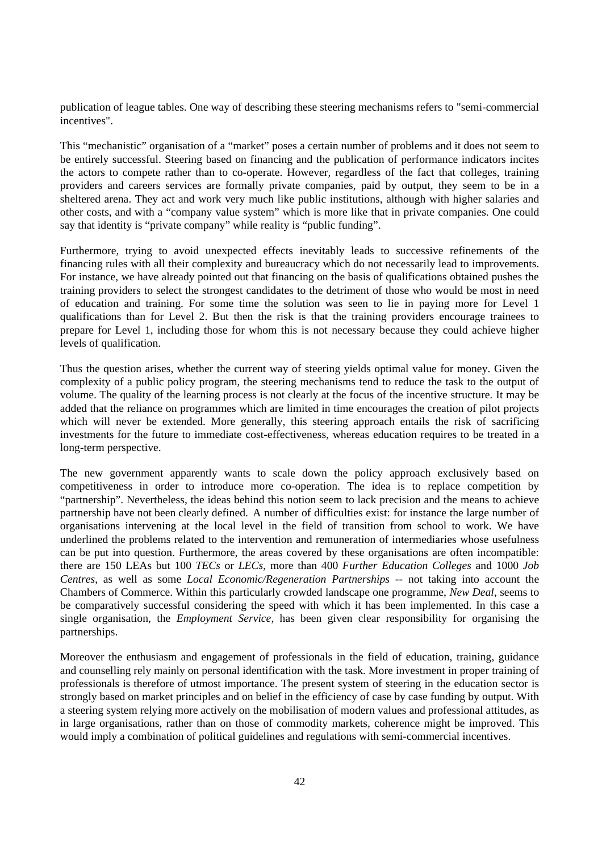publication of league tables. One way of describing these steering mechanisms refers to "semi-commercial incentives".

This "mechanistic" organisation of a "market" poses a certain number of problems and it does not seem to be entirely successful. Steering based on financing and the publication of performance indicators incites the actors to compete rather than to co-operate. However*,* regardless of the fact that colleges, training providers and careers services are formally private companies, paid by output, they seem to be in a sheltered arena. They act and work very much like public institutions, although with higher salaries and other costs, and with a "company value system" which is more like that in private companies. One could say that identity is "private company" while reality is "public funding".

Furthermore, trying to avoid unexpected effects inevitably leads to successive refinements of the financing rules with all their complexity and bureaucracy which do not necessarily lead to improvements. For instance, we have already pointed out that financing on the basis of qualifications obtained pushes the training providers to select the strongest candidates to the detriment of those who would be most in need of education and training. For some time the solution was seen to lie in paying more for Level 1 qualifications than for Level 2. But then the risk is that the training providers encourage trainees to prepare for Level 1, including those for whom this is not necessary because they could achieve higher levels of qualification.

Thus the question arises, whether the current way of steering yields optimal value for money. Given the complexity of a public policy program, the steering mechanisms tend to reduce the task to the output of volume. The quality of the learning process is not clearly at the focus of the incentive structure*.* It may be added that the reliance on programmes which are limited in time encourages the creation of pilot projects which will never be extended. More generally, this steering approach entails the risk of sacrificing investments for the future to immediate cost-effectiveness, whereas education requires to be treated in a long-term perspective.

The new government apparently wants to scale down the policy approach exclusively based on competitiveness in order to introduce more co-operation. The idea is to replace competition by "partnership". Nevertheless, the ideas behind this notion seem to lack precision and the means to achieve partnership have not been clearly defined. A number of difficulties exist: for instance the large number of organisations intervening at the local level in the field of transition from school to work. We have underlined the problems related to the intervention and remuneration of intermediaries whose usefulness can be put into question. Furthermore, the areas covered by these organisations are often incompatible: there are 150 LEAs but 100 *TECs* or *LECs*, more than 400 *Further Education Colleges* and 1000 *Job Centres*, as well as some *Local Economic/Regeneration Partnerships* -- not taking into account the Chambers of Commerce. Within this particularly crowded landscape one programme, *New Deal*, seems to be comparatively successful considering the speed with which it has been implemented. In this case a single organisation, the *Employment Service*, has been given clear responsibility for organising the partnerships.

Moreover the enthusiasm and engagement of professionals in the field of education, training, guidance and counselling rely mainly on personal identification with the task. More investment in proper training of professionals is therefore of utmost importance. The present system of steering in the education sector is strongly based on market principles and on belief in the efficiency of case by case funding by output. With a steering system relying more actively on the mobilisation of modern values and professional attitudes, as in large organisations, rather than on those of commodity markets, coherence might be improved. This would imply a combination of political guidelines and regulations with semi-commercial incentives.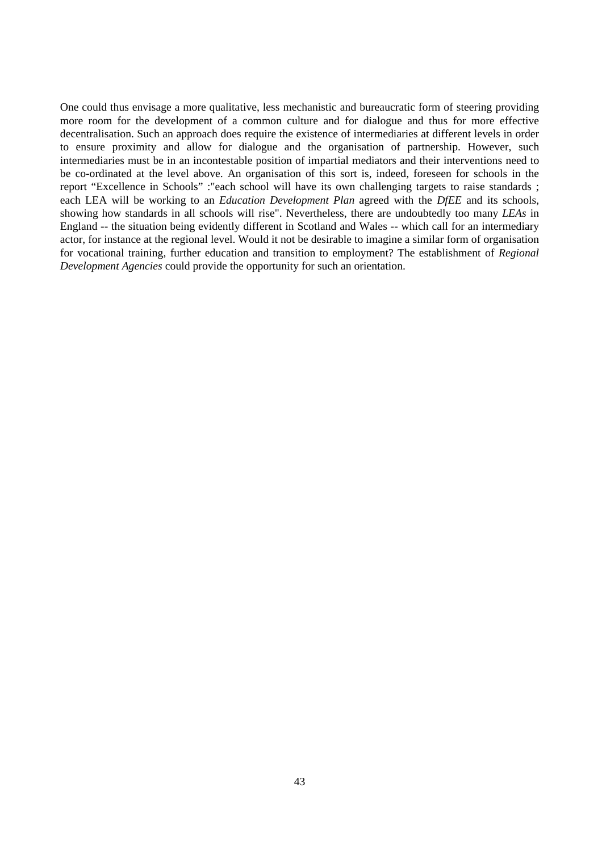One could thus envisage a more qualitative, less mechanistic and bureaucratic form of steering providing more room for the development of a common culture and for dialogue and thus for more effective decentralisation. Such an approach does require the existence of intermediaries at different levels in order to ensure proximity and allow for dialogue and the organisation of partnership. However, such intermediaries must be in an incontestable position of impartial mediators and their interventions need to be co-ordinated at the level above. An organisation of this sort is, indeed, foreseen for schools in the report "Excellence in Schools" :"each school will have its own challenging targets to raise standards ; each LEA will be working to an *Education Development Plan* agreed with the *DfEE* and its schools, showing how standards in all schools will rise". Nevertheless, there are undoubtedly too many *LEAs* in England -- the situation being evidently different in Scotland and Wales -- which call for an intermediary actor, for instance at the regional level. Would it not be desirable to imagine a similar form of organisation for vocational training, further education and transition to employment? The establishment of *Regional Development Agencies* could provide the opportunity for such an orientation.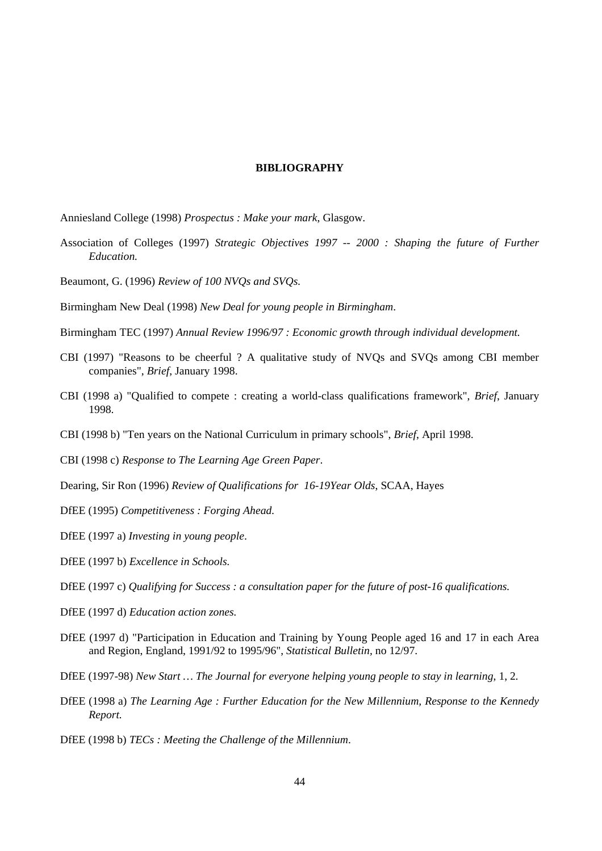#### **BIBLIOGRAPHY**

Anniesland College (1998) *Prospectus : Make your mark*, Glasgow.

- Association of Colleges (1997) *Strategic Objectives 1997 -- 2000 : Shaping the future of Further Education.*
- Beaumont, G. (1996) *Review of 100 NVQs and SVQs.*

Birmingham New Deal (1998) *New Deal for young people in Birmingham*.

- Birmingham TEC (1997) *Annual Review 1996/97 : Economic growth through individual development.*
- CBI (1997) "Reasons to be cheerful ? A qualitative study of NVQs and SVQs among CBI member companies", *Brief*, January 1998.
- CBI (1998 a) "Qualified to compete : creating a world-class qualifications framework", *Brief*, January 1998.
- CBI (1998 b) "Ten years on the National Curriculum in primary schools", *Brief*, April 1998.
- CBI (1998 c) *Response to The Learning Age Green Paper*.
- Dearing, Sir Ron (1996) *Review of Qualifications for 16-19Year Olds*, SCAA, Hayes
- DfEE (1995) *Competitiveness : Forging Ahead.*

DfEE (1997 a) *Investing in young people*.

DfEE (1997 b) *Excellence in Schools.*

DfEE (1997 c) *Qualifying for Success : a consultation paper for the future of post-16 qualifications.*

- DfEE (1997 d) *Education action zones.*
- DfEE (1997 d) "Participation in Education and Training by Young People aged 16 and 17 in each Area and Region, England, 1991/92 to 1995/96", *Statistical Bulletin,* no 12/97.
- DfEE (1997-98) *New Start … The Journal for everyone helping young people to stay in learning*, 1, 2*.*
- DfEE (1998 a) *The Learning Age : Further Education for the New Millennium, Response to the Kennedy Report.*

DfEE (1998 b) *TECs : Meeting the Challenge of the Millennium*.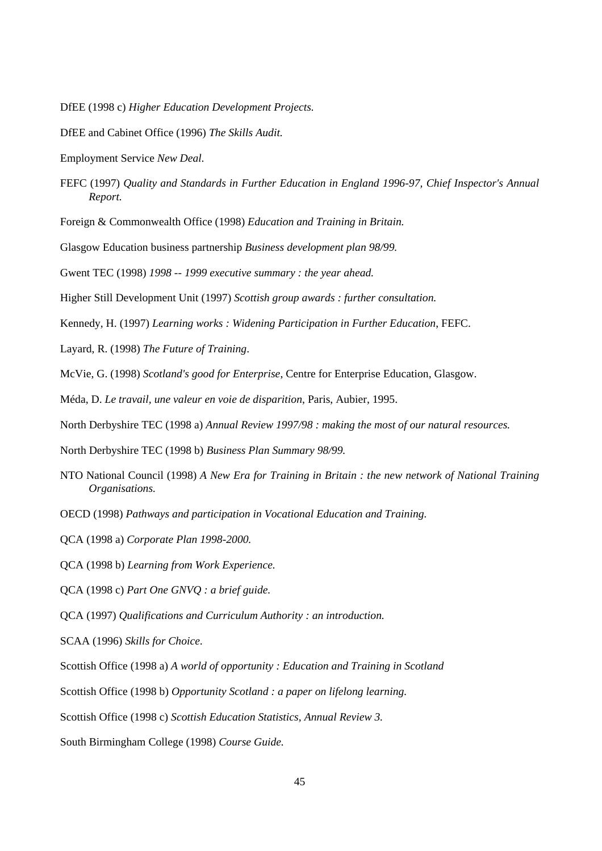DfEE (1998 c) *Higher Education Development Projects.*

- DfEE and Cabinet Office (1996) *The Skills Audit.*
- Employment Service *New Deal.*
- FEFC (1997) *Quality and Standards in Further Education in England 1996-97, Chief Inspector's Annual Report.*
- Foreign & Commonwealth Office (1998) *Education and Training in Britain.*
- Glasgow Education business partnership *Business development plan 98/99.*
- Gwent TEC (1998) *1998 -- 1999 executive summary : the year ahead.*
- Higher Still Development Unit (1997) *Scottish group awards : further consultation.*
- Kennedy, H. (1997) *Learning works : Widening Participation in Further Education*, FEFC.
- Layard, R. (1998) *The Future of Training*.
- McVie, G. (1998) *Scotland's good for Enterprise*, Centre for Enterprise Education, Glasgow.
- Méda, D. *Le travail, une valeur en voie de disparition*, Paris, Aubier, 1995.
- North Derbyshire TEC (1998 a) *Annual Review 1997/98 : making the most of our natural resources.*
- North Derbyshire TEC (1998 b) *Business Plan Summary 98/99.*
- NTO National Council (1998) *A New Era for Training in Britain : the new network of National Training Organisations.*
- OECD (1998) *Pathways and participation in Vocational Education and Training.*
- QCA (1998 a) *Corporate Plan 1998-2000.*
- QCA (1998 b) *Learning from Work Experience.*
- QCA (1998 c) *Part One GNVQ : a brief guide.*
- QCA (1997) *Qualifications and Curriculum Authority : an introduction.*
- SCAA (1996) *Skills for Choice.*
- Scottish Office (1998 a) *A world of opportunity : Education and Training in Scotland*
- Scottish Office (1998 b) *Opportunity Scotland : a paper on lifelong learning.*
- Scottish Office (1998 c) *Scottish Education Statistics, Annual Review 3.*
- South Birmingham College (1998) *Course Guide.*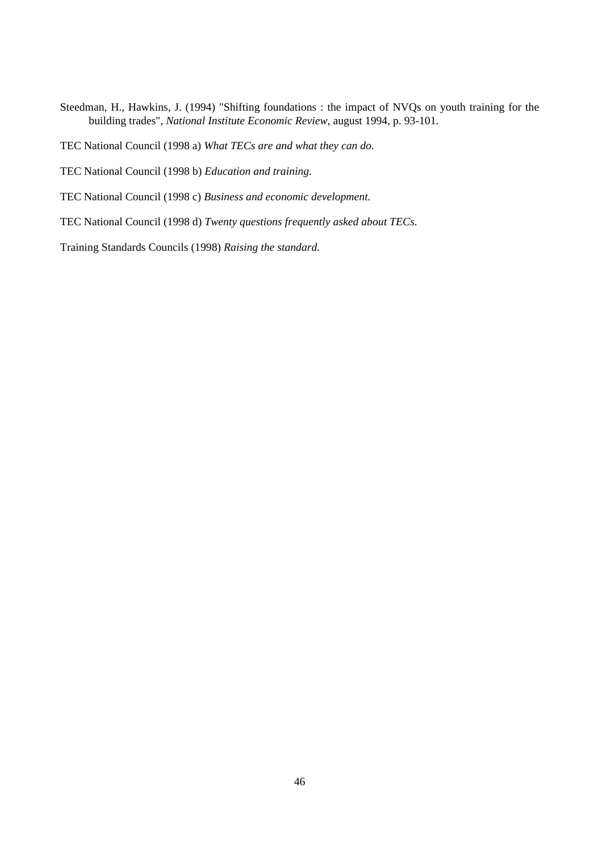Steedman, H., Hawkins, J. (1994) "Shifting foundations : the impact of NVQs on youth training for the building trades", *National Institute Economic Review*, august 1994, p. 93-101.

TEC National Council (1998 a) *What TECs are and what they can do.*

TEC National Council (1998 b) *Education and training.*

TEC National Council (1998 c) *Business and economic development.*

TEC National Council (1998 d) *Twenty questions frequently asked about TECs.*

Training Standards Councils (1998) *Raising the standard.*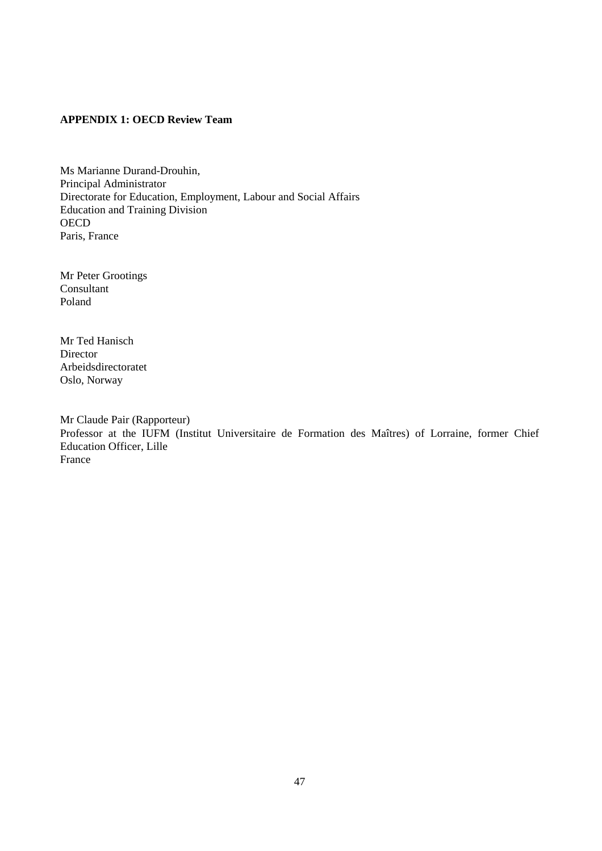## **APPENDIX 1: OECD Review Team**

Ms Marianne Durand-Drouhin, Principal Administrator Directorate for Education, Employment, Labour and Social Affairs Education and Training Division **OECD** Paris, France

Mr Peter Grootings Consultant Poland

Mr Ted Hanisch **Director** Arbeidsdirectoratet Oslo, Norway

Mr Claude Pair (Rapporteur) Professor at the IUFM (Institut Universitaire de Formation des Maîtres) of Lorraine, former Chief Education Officer, Lille France